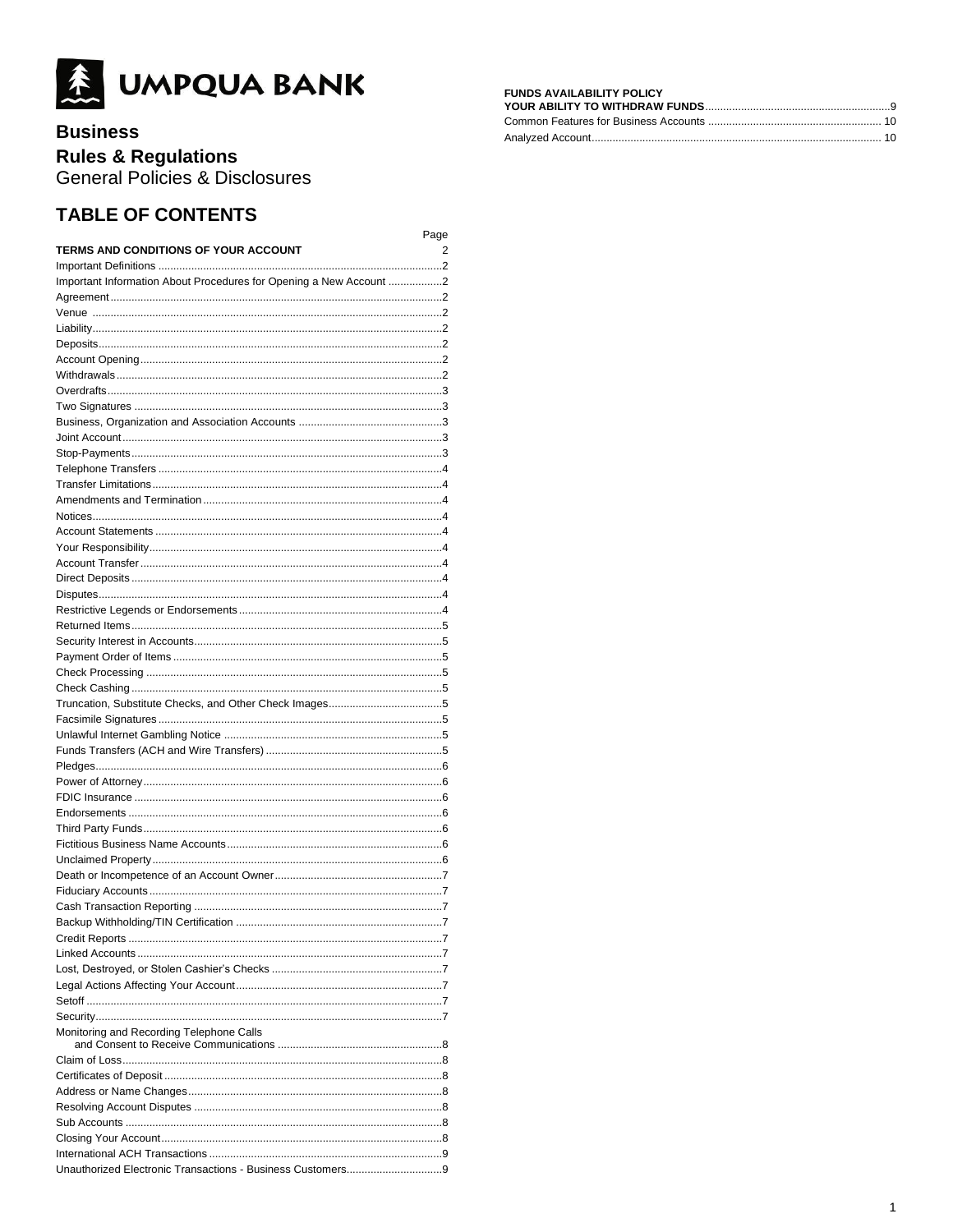

# **Business**

# **Rules & Regulations**

General Policies & Disclosures

# **TABLE OF CONTENTS**

|                                                                    | Page |
|--------------------------------------------------------------------|------|
| <b>TERMS AND CONDITIONS OF YOUR ACCOUNT</b>                        | 2    |
|                                                                    |      |
| Important Information About Procedures for Opening a New Account 2 |      |
|                                                                    |      |
|                                                                    |      |
|                                                                    |      |
|                                                                    |      |
|                                                                    |      |
|                                                                    |      |
|                                                                    |      |
|                                                                    |      |
|                                                                    |      |
|                                                                    |      |
|                                                                    |      |
|                                                                    |      |
|                                                                    |      |
|                                                                    |      |
|                                                                    |      |
|                                                                    |      |
|                                                                    |      |
|                                                                    |      |
|                                                                    |      |
|                                                                    |      |
|                                                                    |      |
|                                                                    |      |
|                                                                    |      |
|                                                                    |      |
|                                                                    |      |
|                                                                    |      |
|                                                                    |      |
|                                                                    |      |
|                                                                    |      |
|                                                                    |      |
|                                                                    |      |
|                                                                    |      |
|                                                                    |      |
|                                                                    |      |
|                                                                    |      |
|                                                                    |      |
|                                                                    |      |
|                                                                    |      |
|                                                                    |      |
|                                                                    |      |
| Backup Withholding/TIN Certification                               | . 7  |
|                                                                    |      |
|                                                                    |      |
|                                                                    |      |
|                                                                    |      |
|                                                                    |      |
| Monitoring and Recording Telephone Calls                           |      |
|                                                                    |      |
|                                                                    |      |
|                                                                    |      |
|                                                                    |      |
|                                                                    |      |
|                                                                    |      |
|                                                                    |      |
|                                                                    |      |
|                                                                    |      |
|                                                                    |      |

# **FUNDS AVAILABILITY POLICY<br>YOUR ABILITY TO WITHDRAW FUNDS**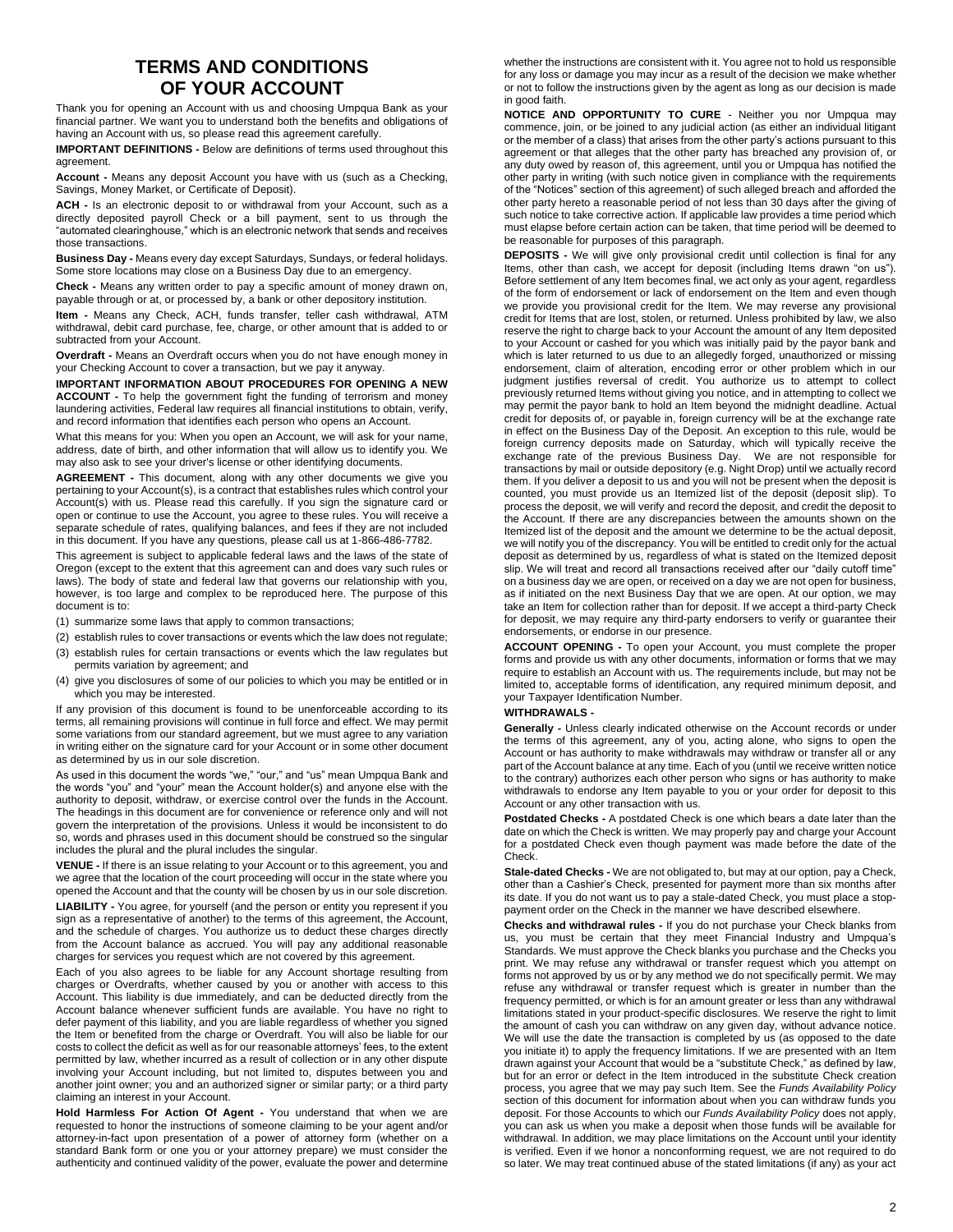### **TERMS AND CONDITIONS OF YOUR ACCOUNT**

Thank you for opening an Account with us and choosing Umpqua Bank as your financial partner. We want you to understand both the benefits and obligations of having an Account with us, so please read this agreement carefully.

**IMPORTANT DEFINITIONS -** Below are definitions of terms used throughout this agreement.

**Account -** Means any deposit Account you have with us (such as a Checking, Savings, Money Market, or Certificate of Deposit).

**ACH -** Is an electronic deposit to or withdrawal from your Account, such as a directly deposited payroll Check or a bill payment, sent to us through the "automated clearinghouse," which is an electronic network that sends and receives those transactions.

**Business Day -** Means every day except Saturdays, Sundays, or federal holidays. Some store locations may close on a Business Day due to an emergency.

**Check -** Means any written order to pay a specific amount of money drawn on, payable through or at, or processed by, a bank or other depository institution.

**Item -** Means any Check, ACH, funds transfer, teller cash withdrawal, ATM withdrawal, debit card purchase, fee, charge, or other amount that is added to or subtracted from your Account.

**Overdraft -** Means an Overdraft occurs when you do not have enough money in your Checking Account to cover a transaction, but we pay it anyway.

**IMPORTANT INFORMATION ABOUT PROCEDURES FOR OPENING A NEW ACCOUNT -** To help the government fight the funding of terrorism and money laundering activities, Federal law requires all financial institutions to obtain, verify, and record information that identifies each person who opens an Account.

What this means for you: When you open an Account, we will ask for your name, address, date of birth, and other information that will allow us to identify you. We may also ask to see your driver's license or other identifying documents.

**AGREEMENT -** This document, along with any other documents we give you pertaining to your Account(s), is a contract that establishes rules which control your Account(s) with us. Please read this carefully. If you sign the signature card or open or continue to use the Account, you agree to these rules. You will receive a separate schedule of rates, qualifying balances, and fees if they are not included in this document. If you have any questions, please call us at 1-866-486-7782.

This agreement is subject to applicable federal laws and the laws of the state of Oregon (except to the extent that this agreement can and does vary such rules or laws). The body of state and federal law that governs our relationship with you, however, is too large and complex to be reproduced here. The purpose of this document is to:

- (1) summarize some laws that apply to common transactions;
- (2) establish rules to cover transactions or events which the law does not regulate; (3) establish rules for certain transactions or events which the law regulates but
- permits variation by agreement; and
- (4) give you disclosures of some of our policies to which you may be entitled or in which you may be interested.

If any provision of this document is found to be unenforceable according to its terms, all remaining provisions will continue in full force and effect. We may permit some variations from our standard agreement, but we must agree to any variation in writing either on the signature card for your Account or in some other document as determined by us in our sole discretion.

As used in this document the words "we," "our," and "us" mean Umpqua Bank and the words "you" and "your" mean the Account holder(s) and anyone else with the authority to deposit, withdraw, or exercise control over the funds in the Account. The headings in this document are for convenience or reference only and will not govern the interpretation of the provisions. Unless it would be inconsistent to do so, words and phrases used in this document should be construed so the singular includes the plural and the plural includes the singular.

**VENUE -** If there is an issue relating to your Account or to this agreement, you and we agree that the location of the court proceeding will occur in the state where you opened the Account and that the county will be chosen by us in our sole discretion.

**LIABILITY -** You agree, for yourself (and the person or entity you represent if you sign as a representative of another) to the terms of this agreement, the Account, and the schedule of charges. You authorize us to deduct these charges directly from the Account balance as accrued. You will pay any additional reasonable charges for services you request which are not covered by this agreement.

Each of you also agrees to be liable for any Account shortage resulting from charges or Overdrafts, whether caused by you or another with access to this Account. This liability is due immediately, and can be deducted directly from the Account balance whenever sufficient funds are available. You have no right to defer payment of this liability, and you are liable regardless of whether you signed the Item or benefited from the charge or Overdraft. You will also be liable for our costs to collect the deficit as well as for our reasonable attorneys' fees, to the extent permitted by law, whether incurred as a result of collection or in any other dispute involving your Account including, but not limited to, disputes between you and another joint owner; you and an authorized signer or similar party; or a third party claiming an interest in your Account.

**Hold Harmless For Action Of Agent -** You understand that when we are requested to honor the instructions of someone claiming to be your agent and/or attorney-in-fact upon presentation of a power of attorney form (whether on a standard Bank form or one you or your attorney prepare) we must consider the authenticity and continued validity of the power, evaluate the power and determine whether the instructions are consistent with it. You agree not to hold us responsible for any loss or damage you may incur as a result of the decision we make whether or not to follow the instructions given by the agent as long as our decision is made in good faith.

**NOTICE AND OPPORTUNITY TO CURE** - Neither you nor Umpqua may commence, join, or be joined to any judicial action (as either an individual litigant or the member of a class) that arises from the other party's actions pursuant to this agreement or that alleges that the other party has breached any provision of, or any duty owed by reason of, this agreement, until you or Umpqua has notified the other party in writing (with such notice given in compliance with the requirements of the "Notices" section of this agreement) of such alleged breach and afforded the other party hereto a reasonable period of not less than 30 days after the giving of such notice to take corrective action. If applicable law provides a time period which must elapse before certain action can be taken, that time period will be deemed to be reasonable for purposes of this paragraph.

**DEPOSITS -** We will give only provisional credit until collection is final for any Items, other than cash, we accept for deposit (including Items drawn "on us"). Before settlement of any Item becomes final, we act only as your agent, regardless of the form of endorsement or lack of endorsement on the Item and even though we provide you provisional credit for the Item. We may reverse any provisional credit for Items that are lost, stolen, or returned. Unless prohibited by law, we also reserve the right to charge back to your Account the amount of any Item deposited to your Account or cashed for you which was initially paid by the payor bank and which is later returned to us due to an allegedly forged, unauthorized or missing endorsement, claim of alteration, encoding error or other problem which in our judgment justifies reversal of credit. You authorize us to attempt to collect previously returned Items without giving you notice, and in attempting to collect we may permit the payor bank to hold an Item beyond the midnight deadline. Actual credit for deposits of, or payable in, foreign currency will be at the exchange rate in effect on the Business Day of the Deposit. An exception to this rule, would be foreign currency deposits made on Saturday, which will typically receive the exchange rate of the previous Business Day. We are not responsible for transactions by mail or outside depository (e.g. Night Drop) until we actually record them. If you deliver a deposit to us and you will not be present when the deposit is counted, you must provide us an Itemized list of the deposit (deposit slip). To process the deposit, we will verify and record the deposit, and credit the deposit to the Account. If there are any discrepancies between the amounts shown on the Itemized list of the deposit and the amount we determine to be the actual deposit, we will notify you of the discrepancy. You will be entitled to credit only for the actual deposit as determined by us, regardless of what is stated on the Itemized deposit slip. We will treat and record all transactions received after our "daily cutoff time" on a business day we are open, or received on a day we are not open for business, as if initiated on the next Business Day that we are open. At our option, we may take an Item for collection rather than for deposit. If we accept a third-party Check for deposit, we may require any third-party endorsers to verify or guarantee their endorsements, or endorse in our presence.

**ACCOUNT OPENING -** To open your Account, you must complete the proper forms and provide us with any other documents, information or forms that we may require to establish an Account with us. The requirements include, but may not be limited to, acceptable forms of identification, any required minimum deposit, and your Taxpayer Identification Number.

#### **WITHDRAWALS -**

**Generally -** Unless clearly indicated otherwise on the Account records or under the terms of this agreement, any of you, acting alone, who signs to open the Account or has authority to make withdrawals may withdraw or transfer all or any part of the Account balance at any time. Each of you (until we receive written notice to the contrary) authorizes each other person who signs or has authority to make withdrawals to endorse any Item payable to you or your order for deposit to this Account or any other transaction with us.

**Postdated Checks -** A postdated Check is one which bears a date later than the date on which the Check is written. We may properly pay and charge your Account for a postdated Check even though payment was made before the date of the Check.

**Stale-dated Checks -** We are not obligated to, but may at our option, pay a Check, other than a Cashier's Check, presented for payment more than six months after its date. If you do not want us to pay a stale-dated Check, you must place a stoppayment order on the Check in the manner we have described elsewhere.

**Checks and withdrawal rules -** If you do not purchase your Check blanks from us, you must be certain that they meet Financial Industry and Umpqua's Standards. We must approve the Check blanks you purchase and the Checks you print. We may refuse any withdrawal or transfer request which you attempt on forms not approved by us or by any method we do not specifically permit. We may refuse any withdrawal or transfer request which is greater in number than the frequency permitted, or which is for an amount greater or less than any withdrawal limitations stated in your product-specific disclosures. We reserve the right to limit the amount of cash you can withdraw on any given day, without advance notice. We will use the date the transaction is completed by us (as opposed to the date you initiate it) to apply the frequency limitations. If we are presented with an Item drawn against your Account that would be a "substitute Check," as defined by law, but for an error or defect in the Item introduced in the substitute Check creation process, you agree that we may pay such Item. See the *Funds Availability Policy* section of this document for information about when you can withdraw funds you deposit. For those Accounts to which our *Funds Availability Policy* does not apply, you can ask us when you make a deposit when those funds will be available for withdrawal. In addition, we may place limitations on the Account until your identity is verified. Even if we honor a nonconforming request, we are not required to do so later. We may treat continued abuse of the stated limitations (if any) as your act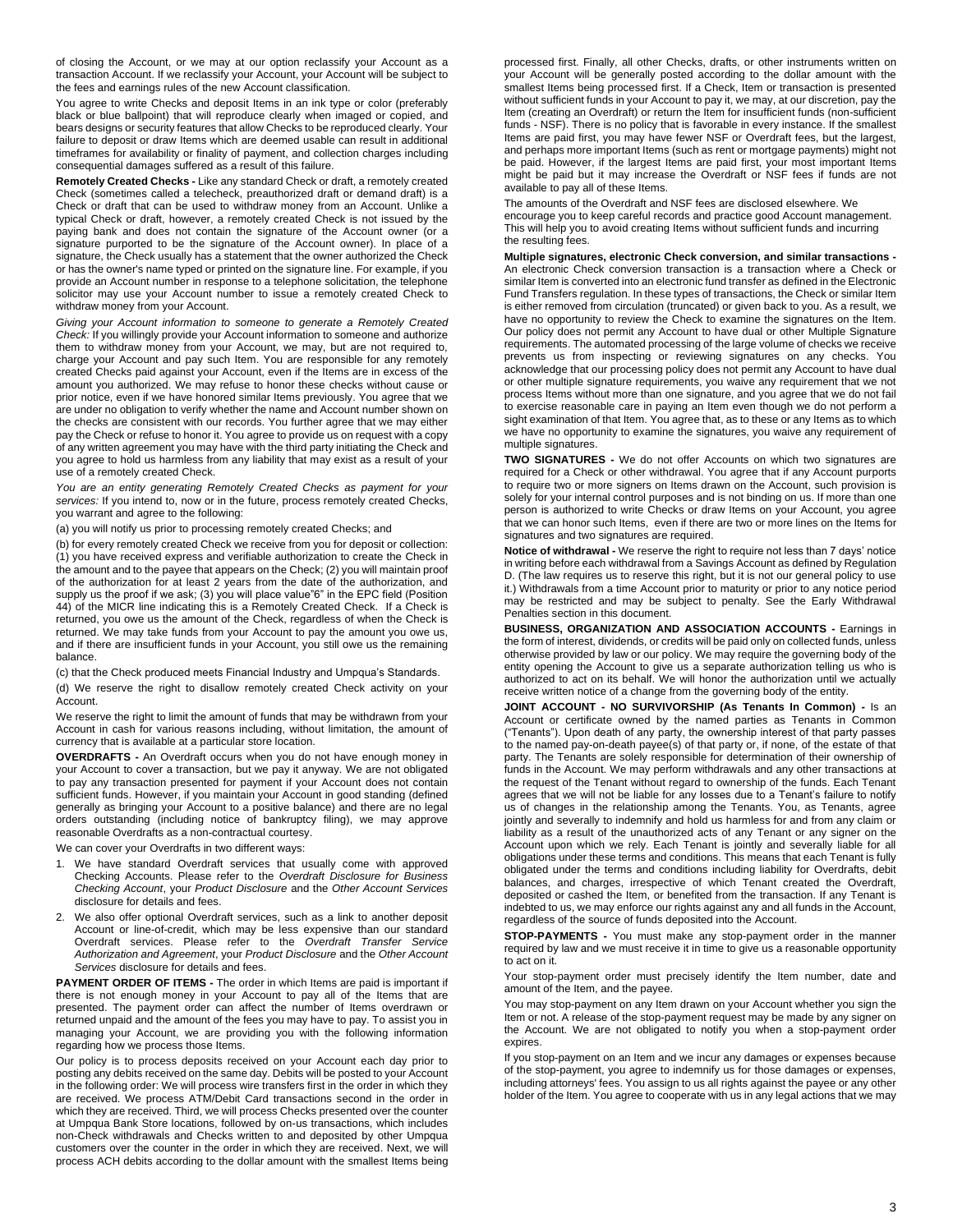of closing the Account, or we may at our option reclassify your Account as a transaction Account. If we reclassify your Account, your Account will be subject to the fees and earnings rules of the new Account classification.

You agree to write Checks and deposit Items in an ink type or color (preferably black or blue ballpoint) that will reproduce clearly when imaged or copied, and bears designs or security features that allow Checks to be reproduced clearly. Your failure to deposit or draw Items which are deemed usable can result in additional timeframes for availability or finality of payment, and collection charges including consequential damages suffered as a result of this failure.

**Remotely Created Checks -** Like any standard Check or draft, a remotely created Check (sometimes called a telecheck, preauthorized draft or demand draft) is a Check or draft that can be used to withdraw money from an Account. Unlike a typical Check or draft, however, a remotely created Check is not issued by the paying bank and does not contain the signature of the Account owner (or a signature purported to be the signature of the Account owner). In place of a signature, the Check usually has a statement that the owner authorized the Check or has the owner's name typed or printed on the signature line. For example, if you provide an Account number in response to a telephone solicitation, the telephone solicitor may use your Account number to issue a remotely created Check to withdraw money from your Account.

*Giving your Account information to someone to generate a Remotely Created Check:* If you willingly provide your Account information to someone and authorize them to withdraw money from your Account, we may, but are not required to, charge your Account and pay such Item. You are responsible for any remotely created Checks paid against your Account, even if the Items are in excess of the amount you authorized. We may refuse to honor these checks without cause or prior notice, even if we have honored similar Items previously. You agree that we are under no obligation to verify whether the name and Account number shown on the checks are consistent with our records. You further agree that we may either pay the Check or refuse to honor it. You agree to provide us on request with a copy of any written agreement you may have with the third party initiating the Check and you agree to hold us harmless from any liability that may exist as a result of your use of a remotely created Check.

*You are an entity generating Remotely Created Checks as payment for your services:* If you intend to, now or in the future, process remotely created Checks, you warrant and agree to the following:

(a) you will notify us prior to processing remotely created Checks; and

(b) for every remotely created Check we receive from you for deposit or collection: (1) you have received express and verifiable authorization to create the Check in the amount and to the payee that appears on the Check; (2) you will maintain proof of the authorization for at least 2 years from the date of the authorization, and supply us the proof if we ask; (3) you will place value"6" in the EPC field (Position 44) of the MICR line indicating this is a Remotely Created Check. If a Check is returned, you owe us the amount of the Check, regardless of when the Check is returned. We may take funds from your Account to pay the amount you owe us, and if there are insufficient funds in your Account, you still owe us the remaining balance.

(c) that the Check produced meets Financial Industry and Umpqua's Standards. (d) We reserve the right to disallow remotely created Check activity on your Account.

We reserve the right to limit the amount of funds that may be withdrawn from your Account in cash for various reasons including, without limitation, the amount of currency that is available at a particular store location.

**OVERDRAFTS -** An Overdraft occurs when you do not have enough money in your Account to cover a transaction, but we pay it anyway. We are not obligated to pay any transaction presented for payment if your Account does not contain sufficient funds. However, if you maintain your Account in good standing (defined generally as bringing your Account to a positive balance) and there are no legal orders outstanding (including notice of bankruptcy filing), we may approve reasonable Overdrafts as a non-contractual courtesy.

We can cover your Overdrafts in two different ways:

- 1. We have standard Overdraft services that usually come with approved Checking Accounts. Please refer to the *Overdraft Disclosure for Business Checking Account*, your *Product Disclosure* and the *Other Account Services* disclosure for details and fees.
- 2. We also offer optional Overdraft services, such as a link to another deposit Account or line-of-credit, which may be less expensive than our standard Overdraft services. Please refer to the *Overdraft Transfer Service Authorization and Agreement*, your *Product Disclosure* and the *Other Account Services* disclosure for details and fees.

**PAYMENT ORDER OF ITEMS -** The order in which Items are paid is important if there is not enough money in your Account to pay all of the Items that are presented. The payment order can affect the number of Items overdrawn or returned unpaid and the amount of the fees you may have to pay. To assist you in managing your Account, we are providing you with the following information regarding how we process those Items.

Our policy is to process deposits received on your Account each day prior to posting any debits received on the same day. Debits will be posted to your Account in the following order: We will process wire transfers first in the order in which they are received. We process ATM/Debit Card transactions second in the order in which they are received. Third, we will process Checks presented over the counter at Umpqua Bank Store locations, followed by on-us transactions, which includes non-Check withdrawals and Checks written to and deposited by other Umpqua customers over the counter in the order in which they are received. Next, we will process ACH debits according to the dollar amount with the smallest Items being

processed first. Finally, all other Checks, drafts, or other instruments written on your Account will be generally posted according to the dollar amount with the smallest Items being processed first. If a Check, Item or transaction is presented without sufficient funds in your Account to pay it, we may, at our discretion, pay the Item (creating an Overdraft) or return the Item for insufficient funds (non-sufficient funds - NSF). There is no policy that is favorable in every instance. If the smallest Items are paid first, you may have fewer NSF or Overdraft fees, but the largest, and perhaps more important Items (such as rent or mortgage payments) might not be paid. However, if the largest Items are paid first, your most important Items might be paid but it may increase the Overdraft or NSF fees if funds are not available to pay all of these Items.

The amounts of the Overdraft and NSF fees are disclosed elsewhere. We encourage you to keep careful records and practice good Account management. This will help you to avoid creating Items without sufficient funds and incurring the resulting fees.

**Multiple signatures, electronic Check conversion, and similar transactions -** An electronic Check conversion transaction is a transaction where a Check or similar Item is converted into an electronic fund transfer as defined in the Electronic Fund Transfers regulation. In these types of transactions, the Check or similar Item is either removed from circulation (truncated) or given back to you. As a result, we have no opportunity to review the Check to examine the signatures on the Item. Our policy does not permit any Account to have dual or other Multiple Signature requirements. The automated processing of the large volume of checks we receive prevents us from inspecting or reviewing signatures on any checks. You acknowledge that our processing policy does not permit any Account to have dual or other multiple signature requirements, you waive any requirement that we not process Items without more than one signature, and you agree that we do not fail to exercise reasonable care in paying an Item even though we do not perform a sight examination of that Item. You agree that, as to these or any Items as to which we have no opportunity to examine the signatures, you waive any requirement of multiple signatures.

**TWO SIGNATURES -** We do not offer Accounts on which two signatures are required for a Check or other withdrawal. You agree that if any Account purports to require two or more signers on Items drawn on the Account, such provision is solely for your internal control purposes and is not binding on us. If more than one person is authorized to write Checks or draw Items on your Account, you agree that we can honor such Items, even if there are two or more lines on the Items for signatures and two signatures are required.

**Notice of withdrawal -** We reserve the right to require not less than 7 days' notice in writing before each withdrawal from a Savings Account as defined by Regulation D. (The law requires us to reserve this right, but it is not our general policy to use it.) Withdrawals from a time Account prior to maturity or prior to any notice period may be restricted and may be subject to penalty. See the Early Withdrawal Penalties section in this document.

**BUSINESS, ORGANIZATION AND ASSOCIATION ACCOUNTS -** Earnings in the form of interest, dividends, or credits will be paid only on collected funds, unless otherwise provided by law or our policy. We may require the governing body of the entity opening the Account to give us a separate authorization telling us who is authorized to act on its behalf. We will honor the authorization until we actually receive written notice of a change from the governing body of the entity.

**JOINT ACCOUNT - NO SURVIVORSHIP (As Tenants In Common) -** Is an Account or certificate owned by the named parties as Tenants in Common ("Tenants"). Upon death of any party, the ownership interest of that party passes to the named pay-on-death payee(s) of that party or, if none, of the estate of that party. The Tenants are solely responsible for determination of their ownership of funds in the Account. We may perform withdrawals and any other transactions at the request of the Tenant without regard to ownership of the funds. Each Tenant agrees that we will not be liable for any losses due to a Tenant's failure to notify us of changes in the relationship among the Tenants. You, as Tenants, agree jointly and severally to indemnify and hold us harmless for and from any claim or liability as a result of the unauthorized acts of any Tenant or any signer on the Account upon which we rely. Each Tenant is jointly and severally liable for all obligations under these terms and conditions. This means that each Tenant is fully obligated under the terms and conditions including liability for Overdrafts, debit balances, and charges, irrespective of which Tenant created the Overdraft, deposited or cashed the Item, or benefited from the transaction. If any Tenant is indebted to us, we may enforce our rights against any and all funds in the Account, regardless of the source of funds deposited into the Account.

**STOP-PAYMENTS -** You must make any stop-payment order in the manner required by law and we must receive it in time to give us a reasonable opportunity to act on it.

Your stop-payment order must precisely identify the Item number, date and amount of the Item, and the payee.

You may stop-payment on any Item drawn on your Account whether you sign the Item or not. A release of the stop-payment request may be made by any signer on the Account. We are not obligated to notify you when a stop-payment order expires

If you stop-payment on an Item and we incur any damages or expenses because of the stop-payment, you agree to indemnify us for those damages or expenses, including attorneys' fees. You assign to us all rights against the payee or any other holder of the Item. You agree to cooperate with us in any legal actions that we may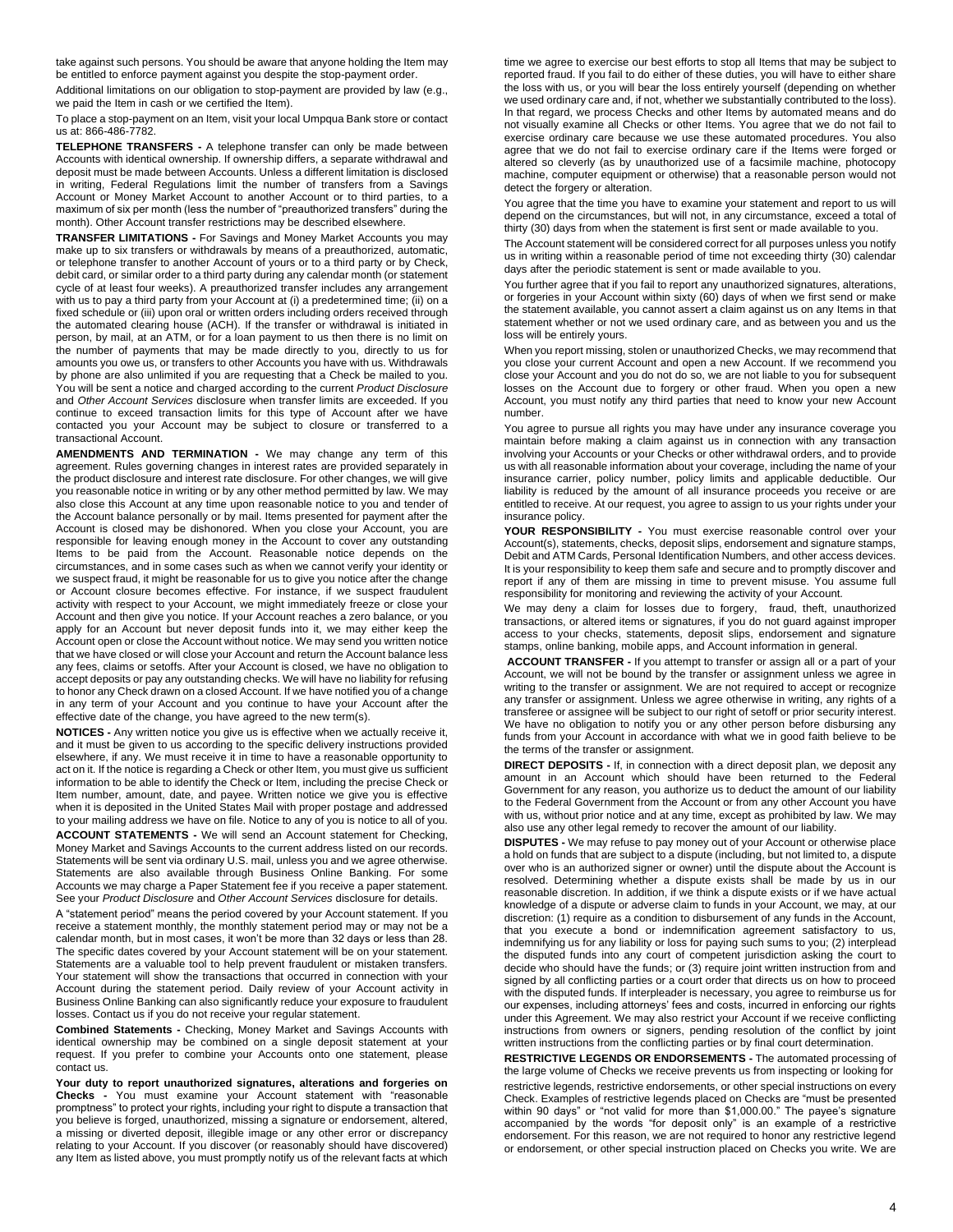take against such persons. You should be aware that anyone holding the Item may be entitled to enforce payment against you despite the stop-payment order.

Additional limitations on our obligation to stop-payment are provided by law (e.g., we paid the Item in cash or we certified the Item).

To place a stop-payment on an Item, visit your local Umpqua Bank store or contact us at: 866-486-7782.

**TELEPHONE TRANSFERS -** A telephone transfer can only be made between Accounts with identical ownership. If ownership differs, a separate withdrawal and deposit must be made between Accounts. Unless a different limitation is disclosed in writing, Federal Regulations limit the number of transfers from a Savings Account or Money Market Account to another Account or to third parties, to a maximum of six per month (less the number of "preauthorized transfers" during the month). Other Account transfer restrictions may be described elsewhere.

**TRANSFER LIMITATIONS -** For Savings and Money Market Accounts you may make up to six transfers or withdrawals by means of a preauthorized, automatic, or telephone transfer to another Account of yours or to a third party or by Check, debit card, or similar order to a third party during any calendar month (or statement cycle of at least four weeks). A preauthorized transfer includes any arrangement with us to pay a third party from your Account at (i) a predetermined time; (ii) on a fixed schedule or (iii) upon oral or written orders including orders received through the automated clearing house (ACH). If the transfer or withdrawal is initiated in person, by mail, at an ATM, or for a loan payment to us then there is no limit on the number of payments that may be made directly to you, directly to us for amounts you owe us, or transfers to other Accounts you have with us. Withdrawals by phone are also unlimited if you are requesting that a Check be mailed to you. You will be sent a notice and charged according to the current *Product Disclosure* and *Other Account Services* disclosure when transfer limits are exceeded. If you continue to exceed transaction limits for this type of Account after we have contacted you your Account may be subject to closure or transferred to a transactional Account.

**AMENDMENTS AND TERMINATION -** We may change any term of this agreement. Rules governing changes in interest rates are provided separately in the product disclosure and interest rate disclosure. For other changes, we will give you reasonable notice in writing or by any other method permitted by law. We may also close this Account at any time upon reasonable notice to you and tender of the Account balance personally or by mail. Items presented for payment after the Account is closed may be dishonored. When you close your Account, you are responsible for leaving enough money in the Account to cover any outstanding Items to be paid from the Account. Reasonable notice depends on the circumstances, and in some cases such as when we cannot verify your identity or we suspect fraud, it might be reasonable for us to give you notice after the change or Account closure becomes effective. For instance, if we suspect fraudulent activity with respect to your Account, we might immediately freeze or close your Account and then give you notice. If your Account reaches a zero balance, or you apply for an Account but never deposit funds into it, we may either keep the Account open or close the Account without notice. We may send you written notice that we have closed or will close your Account and return the Account balance less any fees, claims or setoffs. After your Account is closed, we have no obligation to accept deposits or pay any outstanding checks. We will have no liability for refusing to honor any Check drawn on a closed Account. If we have notified you of a change in any term of your Account and you continue to have your Account after the effective date of the change, you have agreed to the new term(s).

**NOTICES -** Any written notice you give us is effective when we actually receive it, and it must be given to us according to the specific delivery instructions provided elsewhere, if any. We must receive it in time to have a reasonable opportunity to act on it. If the notice is regarding a Check or other Item, you must give us sufficient information to be able to identify the Check or Item, including the precise Check or Item number, amount, date, and payee. Written notice we give you is effective when it is deposited in the United States Mail with proper postage and addressed to your mailing address we have on file. Notice to any of you is notice to all of you.

**ACCOUNT STATEMENTS -** We will send an Account statement for Checking, Money Market and Savings Accounts to the current address listed on our records. Statements will be sent via ordinary U.S. mail, unless you and we agree otherwise. Statements are also available through Business Online Banking. For some Accounts we may charge a Paper Statement fee if you receive a paper statement. See your *Product Disclosure* and *Other Account Services* disclosure for details.

A "statement period" means the period covered by your Account statement. If you receive a statement monthly, the monthly statement period may or may not be a calendar month, but in most cases, it won't be more than 32 days or less than 28. The specific dates covered by your Account statement will be on your statement. Statements are a valuable tool to help prevent fraudulent or mistaken transfers. Your statement will show the transactions that occurred in connection with your Account during the statement period. Daily review of your Account activity in Business Online Banking can also significantly reduce your exposure to fraudulent losses. Contact us if you do not receive your regular statement.

**Combined Statements -** Checking, Money Market and Savings Accounts with identical ownership may be combined on a single deposit statement at your request. If you prefer to combine your Accounts onto one statement, please contact us.

**Your duty to report unauthorized signatures, alterations and forgeries on Checks -** You must examine your Account statement with "reasonable promptness" to protect your rights, including your right to dispute a transaction that you believe is forged, unauthorized, missing a signature or endorsement, altered, a missing or diverted deposit, illegible image or any other error or discrepancy relating to your Account. If you discover (or reasonably should have discovered) any Item as listed above, you must promptly notify us of the relevant facts at which

time we agree to exercise our best efforts to stop all Items that may be subject to reported fraud. If you fail to do either of these duties, you will have to either share the loss with us, or you will bear the loss entirely yourself (depending on whether we used ordinary care and, if not, whether we substantially contributed to the loss). In that regard, we process Checks and other Items by automated means and do not visually examine all Checks or other Items. You agree that we do not fail to exercise ordinary care because we use these automated procedures. You also agree that we do not fail to exercise ordinary care if the Items were forged or altered so cleverly (as by unauthorized use of a facsimile machine, photocopy machine, computer equipment or otherwise) that a reasonable person would not detect the forgery or alteration.

You agree that the time you have to examine your statement and report to us will depend on the circumstances, but will not, in any circumstance, exceed a total of thirty (30) days from when the statement is first sent or made available to you.

The Account statement will be considered correct for all purposes unless you notify us in writing within a reasonable period of time not exceeding thirty (30) calendar days after the periodic statement is sent or made available to you.

You further agree that if you fail to report any unauthorized signatures, alterations, or forgeries in your Account within sixty (60) days of when we first send or make the statement available, you cannot assert a claim against us on any Items in that statement whether or not we used ordinary care, and as between you and us the loss will be entirely yours.

When you report missing, stolen or unauthorized Checks, we may recommend that you close your current Account and open a new Account. If we recommend you close your Account and you do not do so, we are not liable to you for subsequent losses on the Account due to forgery or other fraud. When you open a new Account, you must notify any third parties that need to know your new Account number.

You agree to pursue all rights you may have under any insurance coverage you maintain before making a claim against us in connection with any transaction involving your Accounts or your Checks or other withdrawal orders, and to provide us with all reasonable information about your coverage, including the name of your insurance carrier, policy number, policy limits and applicable deductible. Our liability is reduced by the amount of all insurance proceeds you receive or are entitled to receive. At our request, you agree to assign to us your rights under your insurance policy.

**YOUR RESPONSIBILITY -** You must exercise reasonable control over your Account(s), statements, checks, deposit slips, endorsement and signature stamps, Debit and ATM Cards, Personal Identification Numbers, and other access devices. It is your responsibility to keep them safe and secure and to promptly discover and report if any of them are missing in time to prevent misuse. You assume full responsibility for monitoring and reviewing the activity of your Account.

We may deny a claim for losses due to forgery, fraud, theft, unauthorized transactions, or altered items or signatures, if you do not guard against improper access to your checks, statements, deposit slips, endorsement and signature stamps, online banking, mobile apps, and Account information in general.

**ACCOUNT TRANSFER -** If you attempt to transfer or assign all or a part of your Account, we will not be bound by the transfer or assignment unless we agree in writing to the transfer or assignment. We are not required to accept or recognize any transfer or assignment. Unless we agree otherwise in writing, any rights of a transferee or assignee will be subject to our right of setoff or prior security interest. We have no obligation to notify you or any other person before disbursing any funds from your Account in accordance with what we in good faith believe to be the terms of the transfer or assignment.

**DIRECT DEPOSITS -** If, in connection with a direct deposit plan, we deposit any amount in an Account which should have been returned to the Federal Government for any reason, you authorize us to deduct the amount of our liability to the Federal Government from the Account or from any other Account you have with us, without prior notice and at any time, except as prohibited by law. We may also use any other legal remedy to recover the amount of our liability

**DISPUTES -** We may refuse to pay money out of your Account or otherwise place a hold on funds that are subject to a dispute (including, but not limited to, a dispute over who is an authorized signer or owner) until the dispute about the Account is resolved. Determining whether a dispute exists shall be made by us in our reasonable discretion. In addition, if we think a dispute exists or if we have actual knowledge of a dispute or adverse claim to funds in your Account, we may, at our discretion: (1) require as a condition to disbursement of any funds in the Account, that you execute a bond or indemnification agreement satisfactory to us, indemnifying us for any liability or loss for paying such sums to you; (2) interplead the disputed funds into any court of competent jurisdiction asking the court to decide who should have the funds; or (3) require joint written instruction from and signed by all conflicting parties or a court order that directs us on how to proceed with the disputed funds. If interpleader is necessary, you agree to reimburse us for our expenses, including attorneys' fees and costs, incurred in enforcing our rights under this Agreement. We may also restrict your Account if we receive conflicting instructions from owners or signers, pending resolution of the conflict by joint written instructions from the conflicting parties or by final court determination

**RESTRICTIVE LEGENDS OR ENDORSEMENTS -** The automated processing of the large volume of Checks we receive prevents us from inspecting or looking for restrictive legends, restrictive endorsements, or other special instructions on every Check. Examples of restrictive legends placed on Checks are "must be presented within 90 days" or "not valid for more than \$1,000.00." The payee's signature accompanied by the words "for deposit only" is an example of a restrictive endorsement. For this reason, we are not required to honor any restrictive legend or endorsement, or other special instruction placed on Checks you write. We are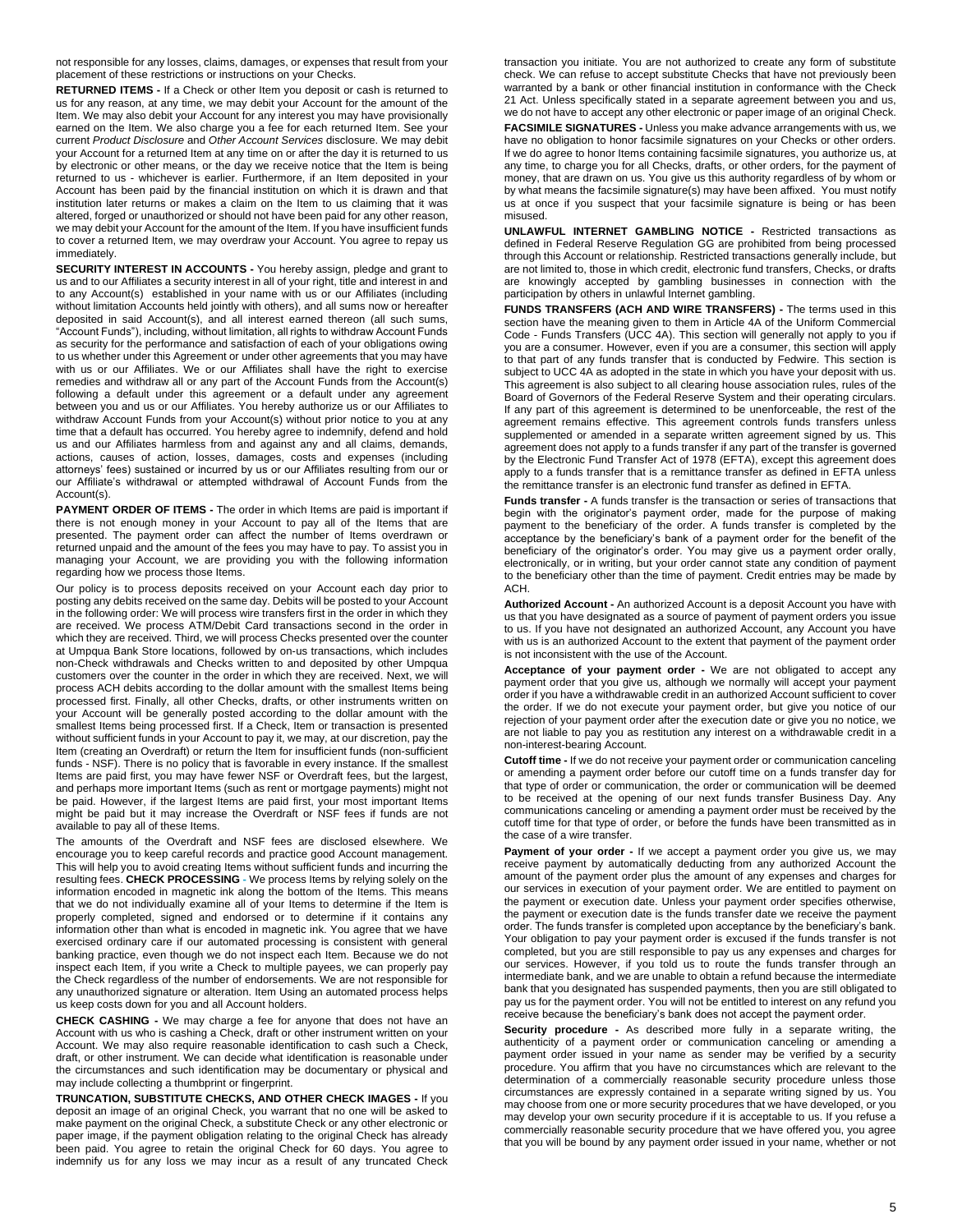not responsible for any losses, claims, damages, or expenses that result from your placement of these restrictions or instructions on your Checks.

**RETURNED ITEMS -** If a Check or other Item you deposit or cash is returned to us for any reason, at any time, we may debit your Account for the amount of the Item. We may also debit your Account for any interest you may have provisionally earned on the Item. We also charge you a fee for each returned Item. See your current *Product Disclosure* and *Other Account Services* disclosure. We may debit your Account for a returned Item at any time on or after the day it is returned to us by electronic or other means, or the day we receive notice that the Item is being returned to us - whichever is earlier. Furthermore, if an Item deposited in your Account has been paid by the financial institution on which it is drawn and that institution later returns or makes a claim on the Item to us claiming that it was altered, forged or unauthorized or should not have been paid for any other reason, we may debit your Account for the amount of the Item. If you have insufficient funds to cover a returned Item, we may overdraw your Account. You agree to repay us immediately.

**SECURITY INTEREST IN ACCOUNTS -** You hereby assign, pledge and grant to us and to our Affiliates a security interest in all of your right, title and interest in and to any Account(s) established in your name with us or our Affiliates (including without limitation Accounts held jointly with others), and all sums now or hereafter deposited in said Account(s), and all interest earned thereon (all such sums, "Account Funds"), including, without limitation, all rights to withdraw Account Funds as security for the performance and satisfaction of each of your obligations owing to us whether under this Agreement or under other agreements that you may have with us or our Affiliates. We or our Affiliates shall have the right to exercise remedies and withdraw all or any part of the Account Funds from the Account(s) following a default under this agreement or a default under any agreement between you and us or our Affiliates. You hereby authorize us or our Affiliates to withdraw Account Funds from your Account(s) without prior notice to you at any time that a default has occurred. You hereby agree to indemnify, defend and hold us and our Affiliates harmless from and against any and all claims, demands, actions, causes of action, losses, damages, costs and expenses (including attorneys' fees) sustained or incurred by us or our Affiliates resulting from our or our Affiliate's withdrawal or attempted withdrawal of Account Funds from the Account(s).

**PAYMENT ORDER OF ITEMS -** The order in which Items are paid is important if there is not enough money in your Account to pay all of the Items that are presented. The payment order can affect the number of Items overdrawn or returned unpaid and the amount of the fees you may have to pay. To assist you in managing your Account, we are providing you with the following information regarding how we process those Items.

Our policy is to process deposits received on your Account each day prior to posting any debits received on the same day. Debits will be posted to your Account in the following order: We will process wire transfers first in the order in which they are received. We process ATM/Debit Card transactions second in the order in which they are received. Third, we will process Checks presented over the counter at Umpqua Bank Store locations, followed by on-us transactions, which includes non-Check withdrawals and Checks written to and deposited by other Umpqua customers over the counter in the order in which they are received. Next, we will process ACH debits according to the dollar amount with the smallest Items being processed first. Finally, all other Checks, drafts, or other instruments written on your Account will be generally posted according to the dollar amount with the smallest Items being processed first. If a Check, Item or transaction is presented without sufficient funds in your Account to pay it, we may, at our discretion, pay the Item (creating an Overdraft) or return the Item for insufficient funds (non-sufficient funds - NSF). There is no policy that is favorable in every instance. If the smallest Items are paid first, you may have fewer NSF or Overdraft fees, but the largest, and perhaps more important Items (such as rent or mortgage payments) might not be paid. However, if the largest Items are paid first, your most important Items might be paid but it may increase the Overdraft or NSF fees if funds are not available to pay all of these Items.

The amounts of the Overdraft and NSF fees are disclosed elsewhere. We encourage you to keep careful records and practice good Account management. This will help you to avoid creating Items without sufficient funds and incurring the resulting fees. **CHECK PROCESSING -** We process Items by relying solely on the information encoded in magnetic ink along the bottom of the Items. This means that we do not individually examine all of your Items to determine if the Item is properly completed, signed and endorsed or to determine if it contains any information other than what is encoded in magnetic ink. You agree that we have exercised ordinary care if our automated processing is consistent with general banking practice, even though we do not inspect each Item. Because we do not inspect each Item, if you write a Check to multiple payees, we can properly pay the Check regardless of the number of endorsements. We are not responsible for any unauthorized signature or alteration. Item Using an automated process helps us keep costs down for you and all Account holders.

**CHECK CASHING -** We may charge a fee for anyone that does not have an Account with us who is cashing a Check, draft or other instrument written on your Account. We may also require reasonable identification to cash such a Check, draft, or other instrument. We can decide what identification is reasonable under the circumstances and such identification may be documentary or physical and may include collecting a thumbprint or fingerprint.

**TRUNCATION, SUBSTITUTE CHECKS, AND OTHER CHECK IMAGES -** If you deposit an image of an original Check, you warrant that no one will be asked to make payment on the original Check, a substitute Check or any other electronic or paper image, if the payment obligation relating to the original Check has already been paid. You agree to retain the original Check for 60 days. You agree to indemnify us for any loss we may incur as a result of any truncated Check

transaction you initiate. You are not authorized to create any form of substitute check. We can refuse to accept substitute Checks that have not previously been warranted by a bank or other financial institution in conformance with the Check 21 Act. Unless specifically stated in a separate agreement between you and us, we do not have to accept any other electronic or paper image of an original Check. **FACSIMILE SIGNATURES -** Unless you make advance arrangements with us, we have no obligation to honor facsimile signatures on your Checks or other orders. If we do agree to honor Items containing facsimile signatures, you authorize us, at any time, to charge you for all Checks, drafts, or other orders, for the payment of money, that are drawn on us. You give us this authority regardless of by whom or by what means the facsimile signature(s) may have been affixed. You must notify us at once if you suspect that your facsimile signature is being or has been misused.

**UNLAWFUL INTERNET GAMBLING NOTICE -** Restricted transactions as defined in Federal Reserve Regulation GG are prohibited from being processed through this Account or relationship. Restricted transactions generally include, but are not limited to, those in which credit, electronic fund transfers, Checks, or drafts are knowingly accepted by gambling businesses in connection with the participation by others in unlawful Internet gambling.

**FUNDS TRANSFERS (ACH AND WIRE TRANSFERS) -** The terms used in this section have the meaning given to them in Article 4A of the Uniform Commercial Code - Funds Transfers (UCC 4A). This section will generally not apply to you if you are a consumer. However, even if you are a consumer, this section will apply to that part of any funds transfer that is conducted by Fedwire. This section is subject to UCC 4A as adopted in the state in which you have your deposit with us. This agreement is also subject to all clearing house association rules, rules of the Board of Governors of the Federal Reserve System and their operating circulars. If any part of this agreement is determined to be unenforceable, the rest of the agreement remains effective. This agreement controls funds transfers unless supplemented or amended in a separate written agreement signed by us. This agreement does not apply to a funds transfer if any part of the transfer is governed by the Electronic Fund Transfer Act of 1978 (EFTA), except this agreement does apply to a funds transfer that is a remittance transfer as defined in EFTA unless the remittance transfer is an electronic fund transfer as defined in EFTA.

**Funds transfer -** A funds transfer is the transaction or series of transactions that begin with the originator's payment order, made for the purpose of making payment to the beneficiary of the order. A funds transfer is completed by the acceptance by the beneficiary's bank of a payment order for the benefit of the beneficiary of the originator's order. You may give us a payment order orally, electronically, or in writing, but your order cannot state any condition of payment to the beneficiary other than the time of payment. Credit entries may be made by ACH.

**Authorized Account -** An authorized Account is a deposit Account you have with us that you have designated as a source of payment of payment orders you issue to us. If you have not designated an authorized Account, any Account you have with us is an authorized Account to the extent that payment of the payment order is not inconsistent with the use of the Account.

**Acceptance of your payment order -** We are not obligated to accept any payment order that you give us, although we normally will accept your payment order if you have a withdrawable credit in an authorized Account sufficient to cover the order. If we do not execute your payment order, but give you notice of our rejection of your payment order after the execution date or give you no notice, we are not liable to pay you as restitution any interest on a withdrawable credit in a non-interest-bearing Account.

**Cutoff time -** If we do not receive your payment order or communication canceling or amending a payment order before our cutoff time on a funds transfer day for that type of order or communication, the order or communication will be deemed to be received at the opening of our next funds transfer Business Day. Any communications canceling or amending a payment order must be received by the cutoff time for that type of order, or before the funds have been transmitted as in the case of a wire transfer.

**Payment of your order -** If we accept a payment order you give us, we may receive payment by automatically deducting from any authorized Account the amount of the payment order plus the amount of any expenses and charges for our services in execution of your payment order. We are entitled to payment on the payment or execution date. Unless your payment order specifies otherwise, the payment or execution date is the funds transfer date we receive the payment order. The funds transfer is completed upon acceptance by the beneficiary's bank. Your obligation to pay your payment order is excused if the funds transfer is not completed, but you are still responsible to pay us any expenses and charges for our services. However, if you told us to route the funds transfer through an intermediate bank, and we are unable to obtain a refund because the intermediate bank that you designated has suspended payments, then you are still obligated to pay us for the payment order. You will not be entitled to interest on any refund you receive because the beneficiary's bank does not accept the payment order.

**Security procedure -** As described more fully in a separate writing, the authenticity of a payment order or communication canceling or amending a payment order issued in your name as sender may be verified by a security procedure. You affirm that you have no circumstances which are relevant to the determination of a commercially reasonable security procedure unless those circumstances are expressly contained in a separate writing signed by us. You may choose from one or more security procedures that we have developed, or you may develop your own security procedure if it is acceptable to us. If you refuse a commercially reasonable security procedure that we have offered you, you agree that you will be bound by any payment order issued in your name, whether or not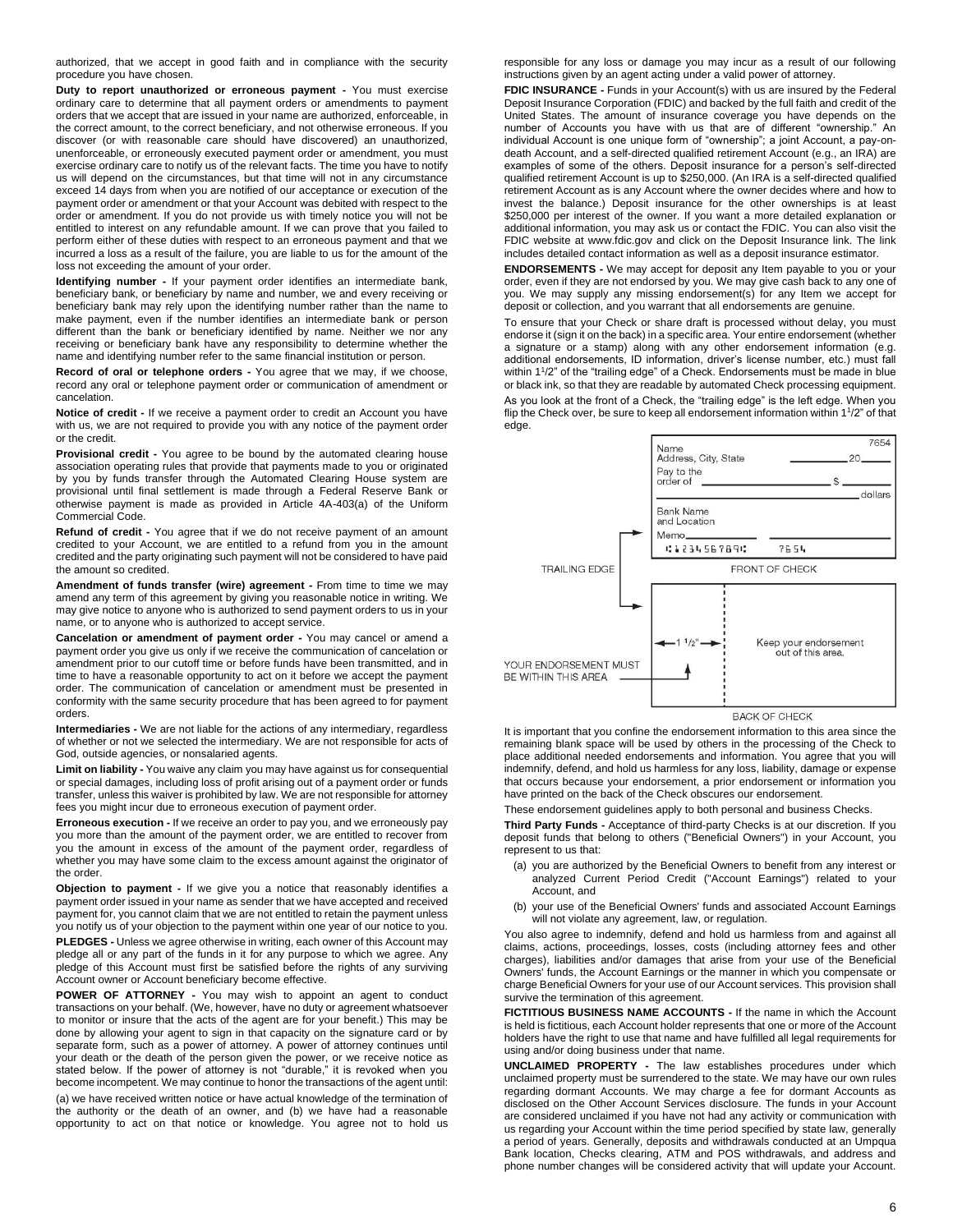authorized, that we accept in good faith and in compliance with the security procedure you have chosen.

**Duty to report unauthorized or erroneous payment -** You must exercise ordinary care to determine that all payment orders or amendments to payment orders that we accept that are issued in your name are authorized, enforceable, in the correct amount, to the correct beneficiary, and not otherwise erroneous. If you discover (or with reasonable care should have discovered) an unauthorized, unenforceable, or erroneously executed payment order or amendment, you must exercise ordinary care to notify us of the relevant facts. The time you have to notify us will depend on the circumstances, but that time will not in any circumstance exceed 14 days from when you are notified of our acceptance or execution of the payment order or amendment or that your Account was debited with respect to the order or amendment. If you do not provide us with timely notice you will not be entitled to interest on any refundable amount. If we can prove that you failed to perform either of these duties with respect to an erroneous payment and that we incurred a loss as a result of the failure, you are liable to us for the amount of the loss not exceeding the amount of your order.

**Identifying number -** If your payment order identifies an intermediate bank, beneficiary bank, or beneficiary by name and number, we and every receiving or beneficiary bank may rely upon the identifying number rather than the name to make payment, even if the number identifies an intermediate bank or person different than the bank or beneficiary identified by name. Neither we nor any receiving or beneficiary bank have any responsibility to determine whether the name and identifying number refer to the same financial institution or person.

**Record of oral or telephone orders -** You agree that we may, if we choose, record any oral or telephone payment order or communication of amendment or cancelation.

**Notice of credit -** If we receive a payment order to credit an Account you have with us, we are not required to provide you with any notice of the payment order or the credit.

**Provisional credit -** You agree to be bound by the automated clearing house association operating rules that provide that payments made to you or originated by you by funds transfer through the Automated Clearing House system are provisional until final settlement is made through a Federal Reserve Bank or otherwise payment is made as provided in Article 4A-403(a) of the Uniform Commercial Code.

**Refund of credit -** You agree that if we do not receive payment of an amount credited to your Account, we are entitled to a refund from you in the amount credited and the party originating such payment will not be considered to have paid the amount so credited.

**Amendment of funds transfer (wire) agreement -** From time to time we may amend any term of this agreement by giving you reasonable notice in writing. We may give notice to anyone who is authorized to send payment orders to us in your name, or to anyone who is authorized to accept service.

**Cancelation or amendment of payment order -** You may cancel or amend a payment order you give us only if we receive the communication of cancelation or amendment prior to our cutoff time or before funds have been transmitted, and in time to have a reasonable opportunity to act on it before we accept the payment order. The communication of cancelation or amendment must be presented in conformity with the same security procedure that has been agreed to for payment orders.

**Intermediaries -** We are not liable for the actions of any intermediary, regardless of whether or not we selected the intermediary. We are not responsible for acts of God, outside agencies, or nonsalaried agents.

**Limit on liability -** You waive any claim you may have against us for consequential or special damages, including loss of profit arising out of a payment order or funds transfer, unless this waiver is prohibited by law. We are not responsible for attorney fees you might incur due to erroneous execution of payment order.

**Erroneous execution -** If we receive an order to pay you, and we erroneously pay you more than the amount of the payment order, we are entitled to recover from you the amount in excess of the amount of the payment order, regardless of whether you may have some claim to the excess amount against the originator of the order.

**Objection to payment -** If we give you a notice that reasonably identifies a payment order issued in your name as sender that we have accepted and received payment for, you cannot claim that we are not entitled to retain the payment unless you notify us of your objection to the payment within one year of our notice to you.

**PLEDGES -** Unless we agree otherwise in writing, each owner of this Account may pledge all or any part of the funds in it for any purpose to which we agree. Any pledge of this Account must first be satisfied before the rights of any surviving Account owner or Account beneficiary become effective.

**POWER OF ATTORNEY -** You may wish to appoint an agent to conduct transactions on your behalf. (We, however, have no duty or agreement whatsoever to monitor or insure that the acts of the agent are for your benefit.) This may be done by allowing your agent to sign in that capacity on the signature card or by separate form, such as a power of attorney. A power of attorney continues until your death or the death of the person given the power, or we receive notice as stated below. If the power of attorney is not "durable," it is revoked when you become incompetent. We may continue to honor the transactions of the agent until:

(a) we have received written notice or have actual knowledge of the termination of the authority or the death of an owner, and (b) we have had a reasonable opportunity to act on that notice or knowledge. You agree not to hold us responsible for any loss or damage you may incur as a result of our following instructions given by an agent acting under a valid power of attorney.

**FDIC INSURANCE -** Funds in your Account(s) with us are insured by the Federal Deposit Insurance Corporation (FDIC) and backed by the full faith and credit of the United States. The amount of insurance coverage you have depends on the number of Accounts you have with us that are of different "ownership." An individual Account is one unique form of "ownership"; a joint Account, a pay-ondeath Account, and a self-directed qualified retirement Account (e.g., an IRA) are examples of some of the others. Deposit insurance for a person's self-directed qualified retirement Account is up to \$250,000. (An IRA is a self-directed qualified retirement Account as is any Account where the owner decides where and how to invest the balance.) Deposit insurance for the other ownerships is at least \$250,000 per interest of the owner. If you want a more detailed explanation or additional information, you may ask us or contact the FDIC. You can also visit the FDIC website at www.fdic.gov and click on the Deposit Insurance link. The link includes detailed contact information as well as a deposit insurance estimator.

**ENDORSEMENTS -** We may accept for deposit any Item payable to you or your order, even if they are not endorsed by you. We may give cash back to any one of you. We may supply any missing endorsement(s) for any Item we accept for deposit or collection, and you warrant that all endorsements are genuine.

To ensure that your Check or share draft is processed without delay, you must endorse it (sign it on the back) in a specific area. Your entire endorsement (whether a signature or a stamp) along with any other endorsement information (e.g. additional endorsements, ID information, driver's license number, etc.) must fall within 1<sup>1</sup>/2" of the "trailing edge" of a Check. Endorsements must be made in blue or black ink, so that they are readable by automated Check processing equipment.

As you look at the front of a Check, the "trailing edge" is the left edge. When you flip the Check over, be sure to keep all endorsement information within 1<sup>1</sup>/2" of that edge.



**BACK OF CHECK** 

It is important that you confine the endorsement information to this area since the remaining blank space will be used by others in the processing of the Check to place additional needed endorsements and information. You agree that you will indemnify, defend, and hold us harmless for any loss, liability, damage or expense that occurs because your endorsement, a prior endorsement or information you have printed on the back of the Check obscures our endorsement.

These endorsement guidelines apply to both personal and business Checks.

**Third Party Funds -** Acceptance of third-party Checks is at our discretion. If you deposit funds that belong to others ("Beneficial Owners") in your Account, you represent to us that:

- (a) you are authorized by the Beneficial Owners to benefit from any interest or analyzed Current Period Credit ("Account Earnings") related to your Account, and
- (b) your use of the Beneficial Owners' funds and associated Account Earnings will not violate any agreement, law, or regulation.

You also agree to indemnify, defend and hold us harmless from and against all claims, actions, proceedings, losses, costs (including attorney fees and other charges), liabilities and/or damages that arise from your use of the Beneficial Owners' funds, the Account Earnings or the manner in which you compensate or charge Beneficial Owners for your use of our Account services. This provision shall survive the termination of this agreement.

**FICTITIOUS BUSINESS NAME ACCOUNTS -** If the name in which the Account is held is fictitious, each Account holder represents that one or more of the Account holders have the right to use that name and have fulfilled all legal requirements for using and/or doing business under that name.

**UNCLAIMED PROPERTY -** The law establishes procedures under which unclaimed property must be surrendered to the state. We may have our own rules regarding dormant Accounts. We may charge a fee for dormant Accounts as disclosed on the Other Account Services disclosure. The funds in your Account are considered unclaimed if you have not had any activity or communication with us regarding your Account within the time period specified by state law, generally a period of years. Generally, deposits and withdrawals conducted at an Umpqua Bank location, Checks clearing, ATM and POS withdrawals, and address and phone number changes will be considered activity that will update your Account.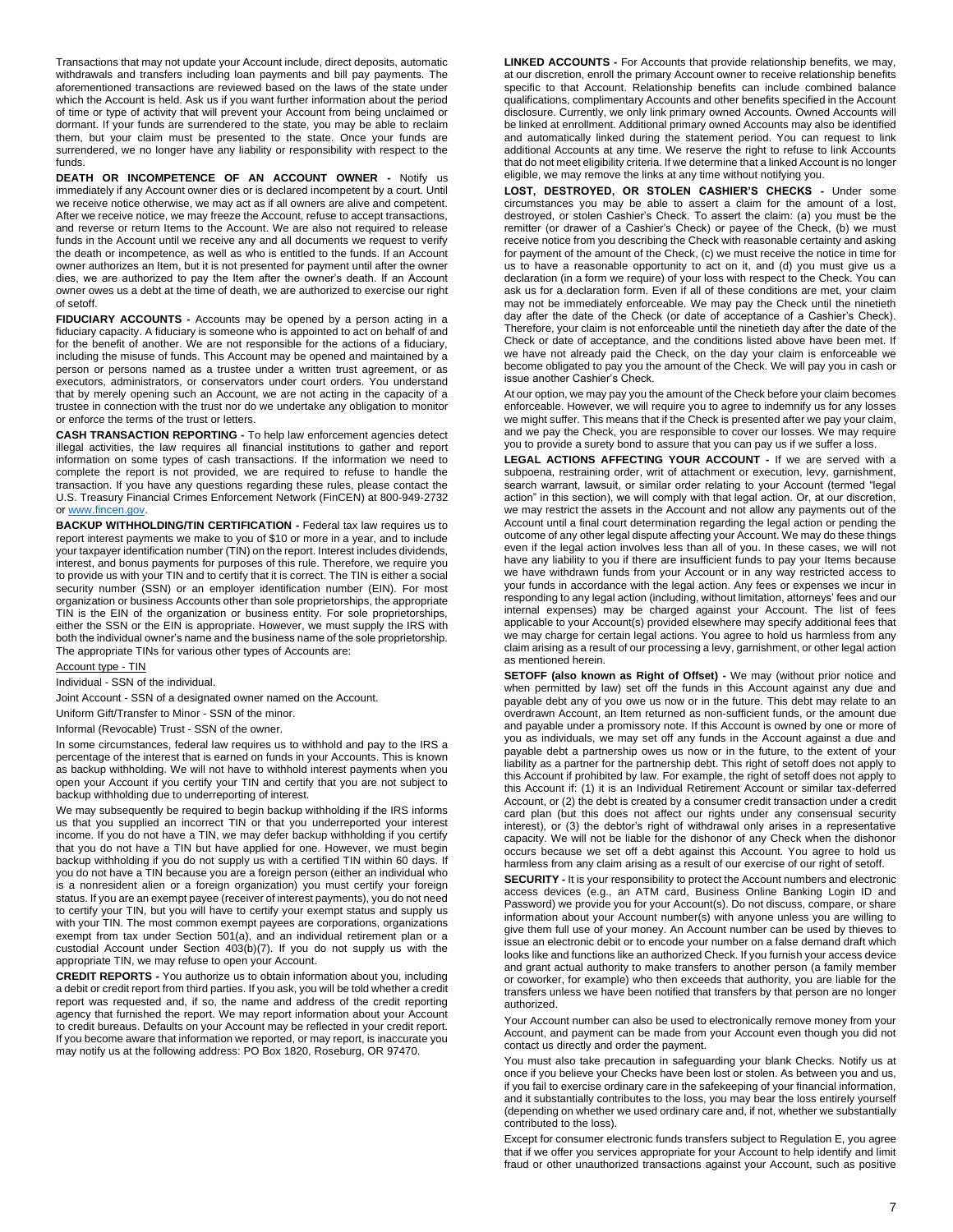Transactions that may not update your Account include, direct deposits, automatic withdrawals and transfers including loan payments and bill pay payments. The aforementioned transactions are reviewed based on the laws of the state under which the Account is held. Ask us if you want further information about the period of time or type of activity that will prevent your Account from being unclaimed or dormant. If your funds are surrendered to the state, you may be able to reclaim them, but your claim must be presented to the state. Once your funds are surrendered, we no longer have any liability or responsibility with respect to the funds.

**DEATH OR INCOMPETENCE OF AN ACCOUNT OWNER -** Notify us immediately if any Account owner dies or is declared incompetent by a court. Until we receive notice otherwise, we may act as if all owners are alive and competent. After we receive notice, we may freeze the Account, refuse to accept transactions, and reverse or return Items to the Account. We are also not required to release funds in the Account until we receive any and all documents we request to verify the death or incompetence, as well as who is entitled to the funds. If an Account owner authorizes an Item, but it is not presented for payment until after the owner dies, we are authorized to pay the Item after the owner's death. If an Account owner owes us a debt at the time of death, we are authorized to exercise our right of setoff.

**FIDUCIARY ACCOUNTS -** Accounts may be opened by a person acting in a fiduciary capacity. A fiduciary is someone who is appointed to act on behalf of and for the benefit of another. We are not responsible for the actions of a fiduciary, including the misuse of funds. This Account may be opened and maintained by a person or persons named as a trustee under a written trust agreement, or as executors, administrators, or conservators under court orders. You understand that by merely opening such an Account, we are not acting in the capacity of a trustee in connection with the trust nor do we undertake any obligation to monitor or enforce the terms of the trust or letters.

**CASH TRANSACTION REPORTING -** To help law enforcement agencies detect illegal activities, the law requires all financial institutions to gather and report information on some types of cash transactions. If the information we need to complete the report is not provided, we are required to refuse to handle the transaction. If you have any questions regarding these rules, please contact the U.S. Treasury Financial Crimes Enforcement Network (FinCEN) at 800-949-2732 o[r www.fincen.gov.](http://www.fincen.gov/)

**BACKUP WITHHOLDING/TIN CERTIFICATION -** Federal tax law requires us to report interest payments we make to you of \$10 or more in a year, and to include your taxpayer identification number (TIN) on the report. Interest includes dividends, interest, and bonus payments for purposes of this rule. Therefore, we require you to provide us with your TIN and to certify that it is correct. The TIN is either a social security number (SSN) or an employer identification number (EIN). For most organization or business Accounts other than sole proprietorships, the appropriate TIN is the EIN of the organization or business entity. For sole proprietorships, either the SSN or the EIN is appropriate. However, we must supply the IRS with both the individual owner's name and the business name of the sole proprietorship. The appropriate TINs for various other types of Accounts are:

#### Account type - TIN

Individual - SSN of the individual.

Joint Account - SSN of a designated owner named on the Account.

Uniform Gift/Transfer to Minor - SSN of the minor.

Informal (Revocable) Trust - SSN of the owner.

In some circumstances, federal law requires us to withhold and pay to the IRS a percentage of the interest that is earned on funds in your Accounts. This is known as backup withholding. We will not have to withhold interest payments when you open your Account if you certify your TIN and certify that you are not subject to backup withholding due to underreporting of interest.

We may subsequently be required to begin backup withholding if the IRS informs us that you supplied an incorrect TIN or that you underreported your interest income. If you do not have a TIN, we may defer backup withholding if you certify that you do not have a TIN but have applied for one. However, we must begin backup withholding if you do not supply us with a certified TIN within 60 days. If you do not have a TIN because you are a foreign person (either an individual who is a nonresident alien or a foreign organization) you must certify your foreign status. If you are an exempt payee (receiver of interest payments), you do not need to certify your TIN, but you will have to certify your exempt status and supply us with your TIN. The most common exempt payees are corporations, organizations exempt from tax under Section 501(a), and an individual retirement plan or a custodial Account under Section 403(b)(7). If you do not supply us with the appropriate TIN, we may refuse to open your Account.

**CREDIT REPORTS -** You authorize us to obtain information about you, including a debit or credit report from third parties. If you ask, you will be told whether a credit report was requested and, if so, the name and address of the credit reporting agency that furnished the report. We may report information about your Account to credit bureaus. Defaults on your Account may be reflected in your credit report. If you become aware that information we reported, or may report, is inaccurate you may notify us at the following address: PO Box 1820, Roseburg, OR 97470.

**LINKED ACCOUNTS -** For Accounts that provide relationship benefits, we may, at our discretion, enroll the primary Account owner to receive relationship benefits specific to that Account. Relationship benefits can include combined balance qualifications, complimentary Accounts and other benefits specified in the Account disclosure. Currently, we only link primary owned Accounts. Owned Accounts will be linked at enrollment. Additional primary owned Accounts may also be identified and automatically linked during the statement period. You can request to link additional Accounts at any time. We reserve the right to refuse to link Accounts that do not meet eligibility criteria. If we determine that a linked Account is no longer eligible, we may remove the links at any time without notifying you.

**LOST, DESTROYED, OR STOLEN CASHIER'S CHECKS -** Under some circumstances you may be able to assert a claim for the amount of a lost, destroyed, or stolen Cashier's Check. To assert the claim: (a) you must be the remitter (or drawer of a Cashier's Check) or payee of the Check, (b) we must receive notice from you describing the Check with reasonable certainty and asking for payment of the amount of the Check, (c) we must receive the notice in time for us to have a reasonable opportunity to act on it, and (d) you must give us a declaration (in a form we require) of your loss with respect to the Check. You can ask us for a declaration form. Even if all of these conditions are met, your claim may not be immediately enforceable. We may pay the Check until the ninetieth day after the date of the Check (or date of acceptance of a Cashier's Check). Therefore, your claim is not enforceable until the ninetieth day after the date of the Check or date of acceptance, and the conditions listed above have been met. If we have not already paid the Check, on the day your claim is enforceable we become obligated to pay you the amount of the Check. We will pay you in cash or issue another Cashier's Check.

At our option, we may pay you the amount of the Check before your claim becomes enforceable. However, we will require you to agree to indemnify us for any losses we might suffer. This means that if the Check is presented after we pay your claim, and we pay the Check, you are responsible to cover our losses. We may require you to provide a surety bond to assure that you can pay us if we suffer a loss.

**LEGAL ACTIONS AFFECTING YOUR ACCOUNT -** If we are served with a subpoena, restraining order, writ of attachment or execution, levy, garnishment, search warrant, lawsuit, or similar order relating to your Account (termed "legal action" in this section), we will comply with that legal action. Or, at our discretion, we may restrict the assets in the Account and not allow any payments out of the Account until a final court determination regarding the legal action or pending the outcome of any other legal dispute affecting your Account. We may do these things even if the legal action involves less than all of you. In these cases, we will not have any liability to you if there are insufficient funds to pay your Items because we have withdrawn funds from your Account or in any way restricted access to your funds in accordance with the legal action. Any fees or expenses we incur in responding to any legal action (including, without limitation, attorneys' fees and our internal expenses) may be charged against your Account. The list of fees applicable to your Account(s) provided elsewhere may specify additional fees that we may charge for certain legal actions. You agree to hold us harmless from any claim arising as a result of our processing a levy, garnishment, or other legal action as mentioned herein.

**SETOFF (also known as Right of Offset) -** We may (without prior notice and when permitted by law) set off the funds in this Account against any due and payable debt any of you owe us now or in the future. This debt may relate to an overdrawn Account, an Item returned as non-sufficient funds, or the amount due and payable under a promissory note. If this Account is owned by one or more of you as individuals, we may set off any funds in the Account against a due and payable debt a partnership owes us now or in the future, to the extent of your liability as a partner for the partnership debt. This right of setoff does not apply to this Account if prohibited by law. For example, the right of setoff does not apply to this Account if: (1) it is an Individual Retirement Account or similar tax-deferred Account, or (2) the debt is created by a consumer credit transaction under a credit card plan (but this does not affect our rights under any consensual security interest), or (3) the debtor's right of withdrawal only arises in a representative capacity. We will not be liable for the dishonor of any Check when the dishonor occurs because we set off a debt against this Account. You agree to hold us harmless from any claim arising as a result of our exercise of our right of setoff.

**SECURITY -** It is your responsibility to protect the Account numbers and electronic access devices (e.g., an ATM card, Business Online Banking Login ID and Password) we provide you for your Account(s). Do not discuss, compare, or share information about your Account number(s) with anyone unless you are willing to give them full use of your money. An Account number can be used by thieves to issue an electronic debit or to encode your number on a false demand draft which looks like and functions like an authorized Check. If you furnish your access device and grant actual authority to make transfers to another person (a family member or coworker, for example) who then exceeds that authority, you are liable for the transfers unless we have been notified that transfers by that person are no longer authorized.

Your Account number can also be used to electronically remove money from your Account, and payment can be made from your Account even though you did not contact us directly and order the payment.

You must also take precaution in safeguarding your blank Checks. Notify us at once if you believe your Checks have been lost or stolen. As between you and us, if you fail to exercise ordinary care in the safekeeping of your financial information, and it substantially contributes to the loss, you may bear the loss entirely yourself (depending on whether we used ordinary care and, if not, whether we substantially contributed to the loss).

Except for consumer electronic funds transfers subject to Regulation E, you agree that if we offer you services appropriate for your Account to help identify and limit fraud or other unauthorized transactions against your Account, such as positive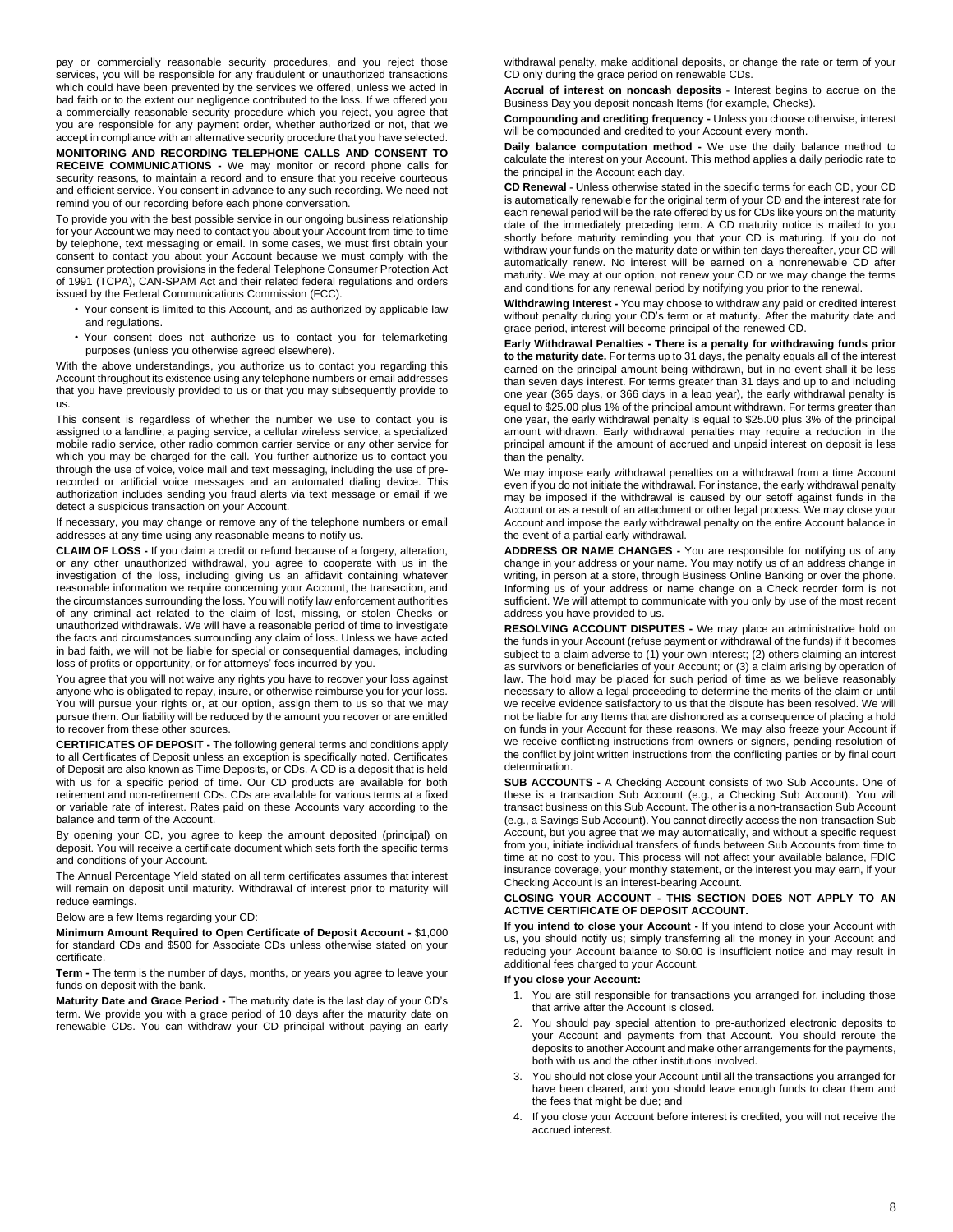pay or commercially reasonable security procedures, and you reject those services, you will be responsible for any fraudulent or unauthorized transactions which could have been prevented by the services we offered, unless we acted in bad faith or to the extent our negligence contributed to the loss. If we offered you a commercially reasonable security procedure which you reject, you agree that you are responsible for any payment order, whether authorized or not, that we accept in compliance with an alternative security procedure that you have selected.

**MONITORING AND RECORDING TELEPHONE CALLS AND CONSENT TO RECEIVE COMMUNICATIONS -** We may monitor or record phone calls for security reasons, to maintain a record and to ensure that you receive courteous and efficient service. You consent in advance to any such recording. We need not remind you of our recording before each phone conversation.

To provide you with the best possible service in our ongoing business relationship for your Account we may need to contact you about your Account from time to time by telephone, text messaging or email. In some cases, we must first obtain your consent to contact you about your Account because we must comply with the consumer protection provisions in the federal Telephone Consumer Protection Act of 1991 (TCPA), CAN-SPAM Act and their related federal regulations and orders issued by the Federal Communications Commission (FCC).

- Your consent is limited to this Account, and as authorized by applicable law and regulations.
- Your consent does not authorize us to contact you for telemarketing purposes (unless you otherwise agreed elsewhere).

With the above understandings, you authorize us to contact you regarding this Account throughout its existence using any telephone numbers or email addresses that you have previously provided to us or that you may subsequently provide to us.

This consent is regardless of whether the number we use to contact you is assigned to a landline, a paging service, a cellular wireless service, a specialized mobile radio service, other radio common carrier service or any other service for which you may be charged for the call. You further authorize us to contact you through the use of voice, voice mail and text messaging, including the use of prerecorded or artificial voice messages and an automated dialing device. This authorization includes sending you fraud alerts via text message or email if we detect a suspicious transaction on your Account.

If necessary, you may change or remove any of the telephone numbers or email addresses at any time using any reasonable means to notify us.

**CLAIM OF LOSS -** If you claim a credit or refund because of a forgery, alteration, or any other unauthorized withdrawal, you agree to cooperate with us in the investigation of the loss, including giving us an affidavit containing whatever reasonable information we require concerning your Account, the transaction, and the circumstances surrounding the loss. You will notify law enforcement authorities of any criminal act related to the claim of lost, missing, or stolen Checks or unauthorized withdrawals. We will have a reasonable period of time to investigate the facts and circumstances surrounding any claim of loss. Unless we have acted in bad faith, we will not be liable for special or consequential damages, including loss of profits or opportunity, or for attorneys' fees incurred by you.

You agree that you will not waive any rights you have to recover your loss against anyone who is obligated to repay, insure, or otherwise reimburse you for your loss. You will pursue your rights or, at our option, assign them to us so that we may pursue them. Our liability will be reduced by the amount you recover or are entitled to recover from these other sources.

**CERTIFICATES OF DEPOSIT -** The following general terms and conditions apply to all Certificates of Deposit unless an exception is specifically noted. Certificates of Deposit are also known as Time Deposits, or CDs. A CD is a deposit that is held with us for a specific period of time. Our CD products are available for both retirement and non-retirement CDs. CDs are available for various terms at a fixed or variable rate of interest. Rates paid on these Accounts vary according to the balance and term of the Account.

By opening your CD, you agree to keep the amount deposited (principal) on deposit. You will receive a certificate document which sets forth the specific terms and conditions of your Account.

The Annual Percentage Yield stated on all term certificates assumes that interest will remain on deposit until maturity. Withdrawal of interest prior to maturity will reduce earnings.

Below are a few Items regarding your CD:

**Minimum Amount Required to Open Certificate of Deposit Account -** \$1,000 for standard CDs and \$500 for Associate CDs unless otherwise stated on your certificate.

**Term -** The term is the number of days, months, or years you agree to leave your funds on deposit with the bank.

**Maturity Date and Grace Period -** The maturity date is the last day of your CD's term. We provide you with a grace period of 10 days after the maturity date on renewable CDs. You can withdraw your CD principal without paying an early

withdrawal penalty, make additional deposits, or change the rate or term of your CD only during the grace period on renewable CDs.

**Accrual of interest on noncash deposits -** Interest begins to accrue on the Business Day you deposit noncash Items (for example, Checks).

**Compounding and crediting frequency -** Unless you choose otherwise, interest will be compounded and credited to your Account every month.

**Daily balance computation method -** We use the daily balance method to calculate the interest on your Account. This method applies a daily periodic rate to the principal in the Account each day.

**CD Renewal -** Unless otherwise stated in the specific terms for each CD, your CD is automatically renewable for the original term of your CD and the interest rate for each renewal period will be the rate offered by us for CDs like yours on the maturity date of the immediately preceding term. A CD maturity notice is mailed to you shortly before maturity reminding you that your CD is maturing. If you do not withdraw your funds on the maturity date or within ten days thereafter, your CD will automatically renew. No interest will be earned on a nonrenewable CD after maturity. We may at our option, not renew your CD or we may change the terms and conditions for any renewal period by notifying you prior to the renewal.

**Withdrawing Interest -** You may choose to withdraw any paid or credited interest without penalty during your CD's term or at maturity. After the maturity date and grace period, interest will become principal of the renewed CD.

**Early Withdrawal Penalties - There is a penalty for withdrawing funds prior to the maturity date.** For terms up to 31 days, the penalty equals all of the interest earned on the principal amount being withdrawn, but in no event shall it be less than seven days interest. For terms greater than 31 days and up to and including one year (365 days, or 366 days in a leap year), the early withdrawal penalty is equal to \$25.00 plus 1% of the principal amount withdrawn. For terms greater than one year, the early withdrawal penalty is equal to \$25.00 plus 3% of the principal amount withdrawn. Early withdrawal penalties may require a reduction in the principal amount if the amount of accrued and unpaid interest on deposit is less than the penalty.

We may impose early withdrawal penalties on a withdrawal from a time Account even if you do not initiate the withdrawal. For instance, the early withdrawal penalty may be imposed if the withdrawal is caused by our setoff against funds in the Account or as a result of an attachment or other legal process. We may close your Account and impose the early withdrawal penalty on the entire Account balance in the event of a partial early withdrawal.

**ADDRESS OR NAME CHANGES -** You are responsible for notifying us of any change in your address or your name. You may notify us of an address change in writing, in person at a store, through Business Online Banking or over the phone. Informing us of your address or name change on a Check reorder form is not sufficient. We will attempt to communicate with you only by use of the most recent address you have provided to us.

**RESOLVING ACCOUNT DISPUTES -** We may place an administrative hold on the funds in your Account (refuse payment or withdrawal of the funds) if it becomes subject to a claim adverse to (1) your own interest; (2) others claiming an interest as survivors or beneficiaries of your Account; or (3) a claim arising by operation of law. The hold may be placed for such period of time as we believe reasonably necessary to allow a legal proceeding to determine the merits of the claim or until we receive evidence satisfactory to us that the dispute has been resolved. We will not be liable for any Items that are dishonored as a consequence of placing a hold on funds in your Account for these reasons. We may also freeze your Account if we receive conflicting instructions from owners or signers, pending resolution of the conflict by joint written instructions from the conflicting parties or by final court determination.

**SUB ACCOUNTS -** A Checking Account consists of two Sub Accounts. One of these is a transaction Sub Account (e.g., a Checking Sub Account). You will transact business on this Sub Account. The other is a non-transaction Sub Account (e.g., a Savings Sub Account). You cannot directly access the non-transaction Sub Account, but you agree that we may automatically, and without a specific request from you, initiate individual transfers of funds between Sub Accounts from time to time at no cost to you. This process will not affect your available balance, FDIC insurance coverage, your monthly statement, or the interest you may earn, if your Checking Account is an interest-bearing Account.

#### **CLOSING YOUR ACCOUNT - THIS SECTION DOES NOT APPLY TO AN ACTIVE CERTIFICATE OF DEPOSIT ACCOUNT.**

**If you intend to close your Account -** If you intend to close your Account with us, you should notify us; simply transferring all the money in your Account and reducing your Account balance to \$0.00 is insufficient notice and may result in additional fees charged to your Account.

#### **If you close your Account:**

- 1. You are still responsible for transactions you arranged for, including those that arrive after the Account is closed.
- 2. You should pay special attention to pre-authorized electronic deposits to your Account and payments from that Account. You should reroute the deposits to another Account and make other arrangements for the payments, both with us and the other institutions involved.
- 3. You should not close your Account until all the transactions you arranged for have been cleared, and you should leave enough funds to clear them and the fees that might be due; and
- 4. If you close your Account before interest is credited, you will not receive the accrued interest.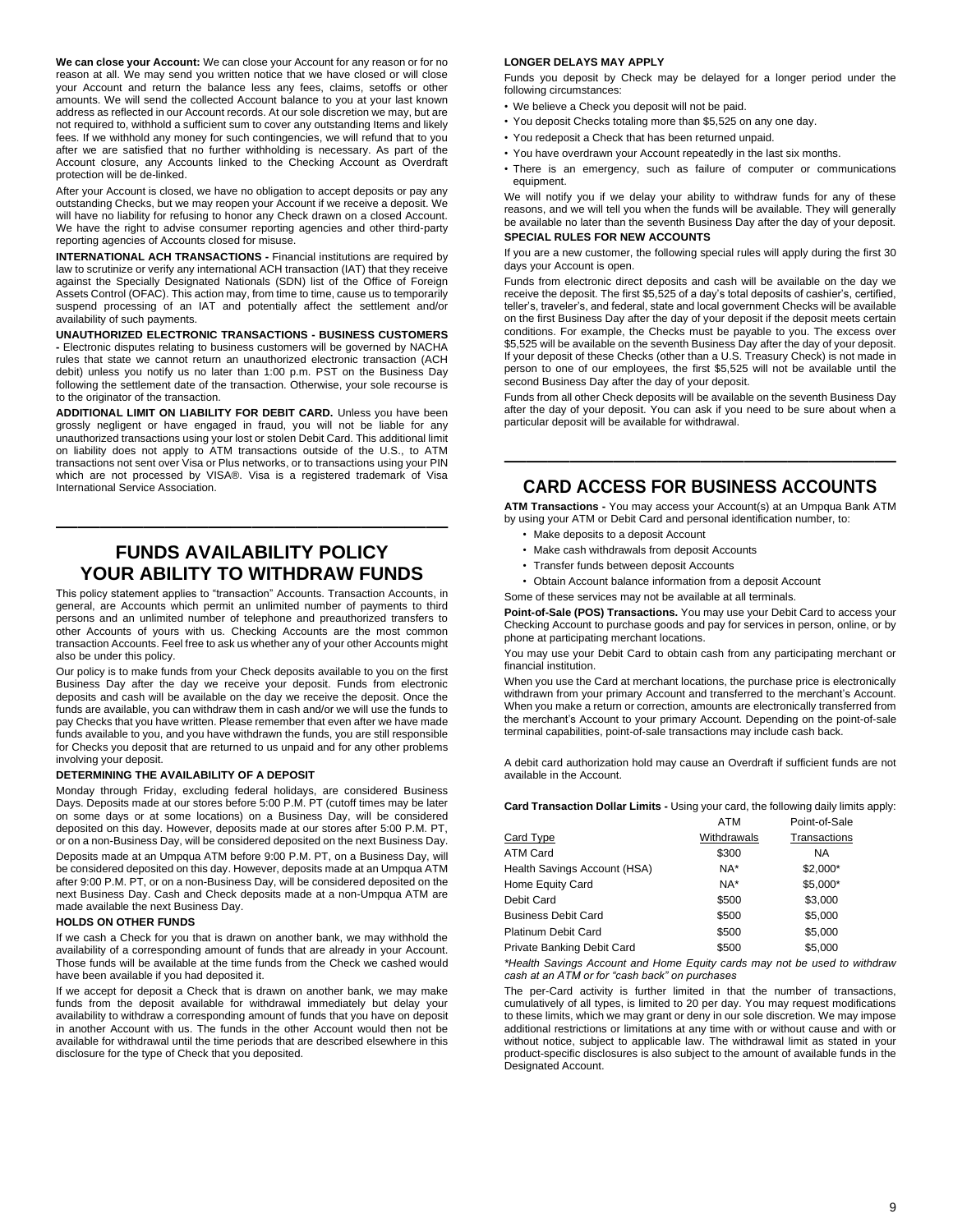**We can close your Account:** We can close your Account for any reason or for no reason at all. We may send you written notice that we have closed or will close your Account and return the balance less any fees, claims, setoffs or other amounts. We will send the collected Account balance to you at your last known address as reflected in our Account records. At our sole discretion we may, but are not required to, withhold a sufficient sum to cover any outstanding Items and likely fees. If we withhold any money for such contingencies, we will refund that to you after we are satisfied that no further withholding is necessary. As part of the Account closure, any Accounts linked to the Checking Account as Overdraft protection will be de-linked.

After your Account is closed, we have no obligation to accept deposits or pay any outstanding Checks, but we may reopen your Account if we receive a deposit. We will have no liability for refusing to honor any Check drawn on a closed Account. We have the right to advise consumer reporting agencies and other third-party reporting agencies of Accounts closed for misuse.

**INTERNATIONAL ACH TRANSACTIONS -** Financial institutions are required by law to scrutinize or verify any international ACH transaction (IAT) that they receive against the Specially Designated Nationals (SDN) list of the Office of Foreign Assets Control (OFAC). This action may, from time to time, cause us to temporarily suspend processing of an IAT and potentially affect the settlement and/or availability of such payments.

**UNAUTHORIZED ELECTRONIC TRANSACTIONS - BUSINESS CUSTOMERS -** Electronic disputes relating to business customers will be governed by NACHA rules that state we cannot return an unauthorized electronic transaction (ACH debit) unless you notify us no later than 1:00 p.m. PST on the Business Day following the settlement date of the transaction. Otherwise, your sole recourse is to the originator of the transaction.

**ADDITIONAL LIMIT ON LIABILITY FOR DEBIT CARD.** Unless you have been grossly negligent or have engaged in fraud, you will not be liable for any unauthorized transactions using your lost or stolen Debit Card. This additional limit on liability does not apply to ATM transactions outside of the U.S., to ATM transactions not sent over Visa or Plus networks, or to transactions using your PIN which are not processed by VISA®. Visa is a registered trademark of Visa International Service Association.

### **FUNDS AVAILABILITY POLICY YOUR ABILITY TO WITHDRAW FUNDS**

——————————————————

This policy statement applies to "transaction" Accounts. Transaction Accounts, in general, are Accounts which permit an unlimited number of payments to third persons and an unlimited number of telephone and preauthorized transfers to other Accounts of yours with us. Checking Accounts are the most common transaction Accounts. Feel free to ask us whether any of your other Accounts might also be under this policy.

Our policy is to make funds from your Check deposits available to you on the first Business Day after the day we receive your deposit. Funds from electronic deposits and cash will be available on the day we receive the deposit. Once the funds are available, you can withdraw them in cash and/or we will use the funds to pay Checks that you have written. Please remember that even after we have made funds available to you, and you have withdrawn the funds, you are still responsible for Checks you deposit that are returned to us unpaid and for any other problems involving your deposit.

#### **DETERMINING THE AVAILABILITY OF A DEPOSIT**

Monday through Friday, excluding federal holidays, are considered Business Days. Deposits made at our stores before 5:00 P.M. PT (cutoff times may be later on some days or at some locations) on a Business Day, will be considered deposited on this day. However, deposits made at our stores after 5:00 P.M. PT, or on a non-Business Day, will be considered deposited on the next Business Day. Deposits made at an Umpqua ATM before 9:00 P.M. PT, on a Business Day, will be considered deposited on this day. However, deposits made at an Umpqua ATM after 9:00 P.M. PT, or on a non-Business Day, will be considered deposited on the next Business Day. Cash and Check deposits made at a non-Umpqua ATM are made available the next Business Day.

#### **HOLDS ON OTHER FUNDS**

If we cash a Check for you that is drawn on another bank, we may withhold the availability of a corresponding amount of funds that are already in your Account. Those funds will be available at the time funds from the Check we cashed would have been available if you had deposited it.

If we accept for deposit a Check that is drawn on another bank, we may make funds from the deposit available for withdrawal immediately but delay your availability to withdraw a corresponding amount of funds that you have on deposit in another Account with us. The funds in the other Account would then not be available for withdrawal until the time periods that are described elsewhere in this disclosure for the type of Check that you deposited.

#### **LONGER DELAYS MAY APPLY**

Funds you deposit by Check may be delayed for a longer period under the following circumstances:

- We believe a Check you deposit will not be paid.
- You deposit Checks totaling more than \$5,525 on any one day.
- You redeposit a Check that has been returned unpaid.
- You have overdrawn your Account repeatedly in the last six months.
- There is an emergency, such as failure of computer or communications equipment.

We will notify you if we delay your ability to withdraw funds for any of these reasons, and we will tell you when the funds will be available. They will generally be available no later than the seventh Business Day after the day of your deposit. **SPECIAL RULES FOR NEW ACCOUNTS**

If you are a new customer, the following special rules will apply during the first 30 days your Account is open.

Funds from electronic direct deposits and cash will be available on the day we receive the deposit. The first \$5,525 of a day's total deposits of cashier's, certified, teller's, traveler's, and federal, state and local government Checks will be available on the first Business Day after the day of your deposit if the deposit meets certain conditions. For example, the Checks must be payable to you. The excess over \$5,525 will be available on the seventh Business Day after the day of your deposit. If your deposit of these Checks (other than a U.S. Treasury Check) is not made in person to one of our employees, the first \$5,525 will not be available until the second Business Day after the day of your deposit.

Funds from all other Check deposits will be available on the seventh Business Day after the day of your deposit. You can ask if you need to be sure about when a particular deposit will be available for withdrawal.

## —————————————————— **CARD ACCESS FOR BUSINESS ACCOUNTS**

**ATM Transactions -** You may access your Account(s) at an Umpqua Bank ATM by using your ATM or Debit Card and personal identification number, to:

- Make deposits to a deposit Account
- Make cash withdrawals from deposit Accounts
- Transfer funds between deposit Accounts
- Obtain Account balance information from a deposit Account
- Some of these services may not be available at all terminals.

**Point-of-Sale (POS) Transactions.** You may use your Debit Card to access your Checking Account to purchase goods and pay for services in person, online, or by phone at participating merchant locations.

You may use your Debit Card to obtain cash from any participating merchant or financial institution.

When you use the Card at merchant locations, the purchase price is electronically withdrawn from your primary Account and transferred to the merchant's Account. When you make a return or correction, amounts are electronically transferred from the merchant's Account to your primary Account. Depending on the point-of-sale terminal capabilities, point-of-sale transactions may include cash back.

A debit card authorization hold may cause an Overdraft if sufficient funds are not available in the Account.

**Card Transaction Dollar Limits -** Using your card, the following daily limits apply: ATM Point-of-Sale

|                              | .           | $\sim$ 0.000 $\sim$ 0.000 $\sim$ |
|------------------------------|-------------|----------------------------------|
| Card Type                    | Withdrawals | Transactions                     |
| ATM Card                     | \$300       | NA.                              |
| Health Savings Account (HSA) | NA*         | $$2,000*$                        |
| Home Equity Card             | NA*         | \$5,000*                         |
| Debit Card                   | \$500       | \$3,000                          |
| <b>Business Debit Card</b>   | \$500       | \$5.000                          |
| <b>Platinum Debit Card</b>   | \$500       | \$5.000                          |
| Private Banking Debit Card   | \$500       | \$5.000                          |
|                              |             |                                  |

*\*Health Savings Account and Home Equity cards may not be used to withdraw cash at an ATM or for "cash back" on purchases*

The per-Card activity is further limited in that the number of transactions, cumulatively of all types, is limited to 20 per day. You may request modifications to these limits, which we may grant or deny in our sole discretion. We may impose additional restrictions or limitations at any time with or without cause and with or without notice, subject to applicable law. The withdrawal limit as stated in your product-specific disclosures is also subject to the amount of available funds in the Designated Account.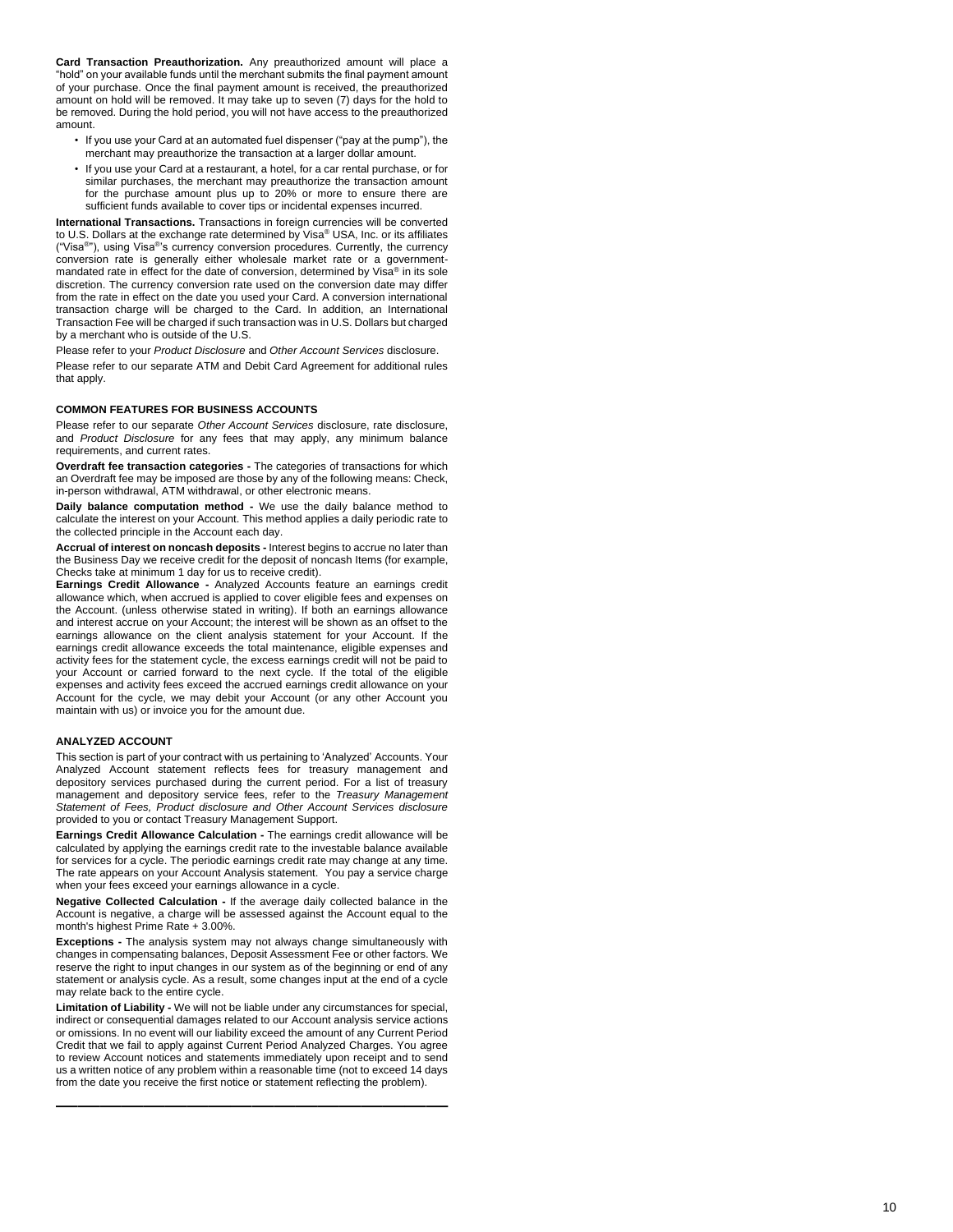**Card Transaction Preauthorization.** Any preauthorized amount will place a "hold" on your available funds until the merchant submits the final payment amount of your purchase. Once the final payment amount is received, the preauthorized amount on hold will be removed. It may take up to seven (7) days for the hold to be removed. During the hold period, you will not have access to the preauthorized amount.

- If you use your Card at an automated fuel dispenser ("pay at the pump"), the merchant may preauthorize the transaction at a larger dollar amount.
- If you use your Card at a restaurant, a hotel, for a car rental purchase, or for similar purchases, the merchant may preauthorize the transaction amount for the purchase amount plus up to 20% or more to ensure there are sufficient funds available to cover tips or incidental expenses incurred.

**International Transactions.** Transactions in foreign currencies will be converted to U.S. Dollars at the exchange rate determined by Visa® USA, Inc. or its affiliates ("Visa®"), using Visa®'s currency conversion procedures. Currently, the currency conversion rate is generally either wholesale market rate or a government mandated rate in effect for the date of conversion, determined by Visa ® in its sole discretion. The currency conversion rate used on the conversion date may differ from the rate in effect on the date you used your Card. A conversion international transaction charge will be charged to the Card. In addition, an International Transaction Fee will be charged if such transaction was in U.S. Dollars but charged by a merchant who is outside of the U.S.

Please refer to your *Product Disclosure* and *Other Account Services* disclosure. Please refer to our separate ATM and Debit Card Agreement for additional rules that apply.

#### **COMMON FEATURES FOR BUSINESS ACCOUNTS**

Please refer to our separate *Other Account Services* disclosure, rate disclosure, and *Product Disclosure* for any fees that may apply, any minimum balance requirements, and current rates.

**Overdraft fee transaction categories - The categories of transactions for which** an Overdraft fee may be imposed are those by any of the following means: Check, in -person withdrawal, ATM withdrawal, or other electronic means.

**Daily balance computation method -** We use the daily balance method to calculate the interest on your Account. This method applies a daily periodic rate to the collected principle in the Account each day.

**Accrual of interest on noncash deposits -** Interest begins to accrue no later than the Business Day we receive credit for the deposit of noncash Items (for example, Check s take at minimum 1 day for us to receive credit) .

**Earnings Credit Allowance -** Analyzed Accounts feature an earnings credit allowance which, when accrued is applied to cover eligible fees and expenses on the Account. (unless otherwise stated in writing). If both an earnings allowance and interest accrue on your Account; the interest will be shown as an offset to the earnings allowance on the client analysis statement for your Account. If the earnings credit allowance exceeds the total maintenance, eligible expenses and activity fees for the statement cycle, the excess earnings credit will not be paid to your Account or carried forward to the next cycle. If the total of the eligible expenses and activity fees exceed the accrued earnings credit allowance on your Account for the cycle, we may debit your Account (or any other Account you maintain with us) or invoice you for the amount due.

#### **ANALYZED ACCOUNT**

This section is part of your contract with us pertaining to 'Analyzed' Accounts. Your Analyzed Account statement reflects fees for treasury management and depository services purchased during the current period. For a list of treasury management and depository service fees, refer to the *Treasury Management Statement of Fees, Product disclosure and Other Account Services disclosure* provided to you or contact Treasury Management Support.

**Earnings Credit Allowance Calculation -** The earnings credit allowance will be calculated by applying the earnings credit rate to the investable balance available for services for a cycle. The periodic earnings credit rate may change at any time. The rate appears on your Account Analysis statement. You pay a service charge when your fees exceed your earnings allowance in a cycle.

**Negative Collected Calculation -** If the average daily collected balance in the Account is negative, a charge will be assessed against the Account equal to the month's highest Prime Rate + 3.00%.

**Exceptions** - The analysis system may not always change simultaneously with changes in compensating balances, Deposit Assessment Fee or other factors. We reserve the right to input changes in our system as of the beginning or end of any statement or analysis cycle. As a result, some changes input at the end of a cycle may relate back to the entire cycle.

**Limitation of Liability -** We will not be liable under any circumstances for special, indirect or consequential damages related to our Account analysis service actions or omissions. In no event will our liability exceed the amount of any Current Period Credit that we fail to apply against Current Period Analyzed Charges. You agree to review Account notices and statements immediately upon receipt and to send us a written notice of any problem within a reasonable time (not to exceed 14 days from the date you receive the first notice or statement reflecting the problem).

——————————————————